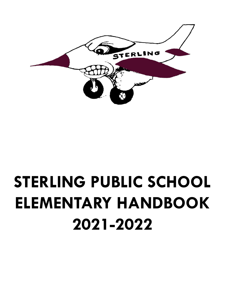

# **STERLING PUBLIC SCHOOL ELEMENTARY HANDBOOK 2021-2022**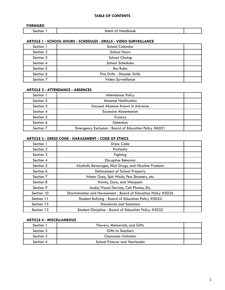| <b>FORWARD</b> |                       |  |
|----------------|-----------------------|--|
| ectior         | Intent of<br>Handbook |  |
|                |                       |  |

| Section 1            | School Calendar               |  |
|----------------------|-------------------------------|--|
| Section 2            | <b>School Hours</b>           |  |
| Section 3            | <b>School Closing</b>         |  |
| Section 4            | <b>School Schedules</b>       |  |
| Section 5            | <b>Bus Rules</b>              |  |
| Section 6            | Fire Drills - Disaster Drills |  |
| Section <sub>7</sub> | Video Surveillance            |  |

# **ARTICLE 2 - ATTENDANCE - ABSENCES**

| Section 1 | Attendance Policy                                     |  |
|-----------|-------------------------------------------------------|--|
| Section 2 | <b>Absence Notification</b>                           |  |
| Section 3 | Excused Absence Known in Advance                      |  |
| Section 4 | <b>Excessive Absenteeism</b>                          |  |
| Section 5 | Truancy                                               |  |
| Section 6 | Detention                                             |  |
| Section 7 | Emergency Exclusion - Board of Education Policy #6031 |  |

#### **ARTICLE 3 - DRESS CODE - HARASSMENT - CODE OF ETHICS**

| Section 1  | <b>Dress Code</b>                                               |  |
|------------|-----------------------------------------------------------------|--|
| Section 2  | Profanity                                                       |  |
| Section 3  | Fighting                                                        |  |
| Section 4  | <b>Disruptive Behavior</b>                                      |  |
| Section 5  | Alcoholic Beverages, Illicit Drugs, and Nicotine Products       |  |
| Section 6  | Defacement of School Property                                   |  |
| Section 7  | Water Guns, Spit Wads, Pea Shooters, etc.                       |  |
| Section 8  | Knives, Guns, and Weapons                                       |  |
| Section 9  | Audio/Visual Devices, Cell Phones, Etc.                         |  |
| Section 10 | Discrimination and Harassment - Board of Education Policy #5026 |  |
| Section 11 | Student Bullying - Board of Education Policy #5054              |  |
| Section 12 | <b>Standards and Sanctions</b>                                  |  |
| Section 13 | Student Discipline - Board of Education Policy #5035            |  |

# **ARTICLE 4 - MISCELLANEOUS**

| Section 1 | Flowers, Memorials, and Gifts        |  |
|-----------|--------------------------------------|--|
| Section 2 | <b>Gifts to Teachers</b>             |  |
| Section 3 | Classroom Visitation                 |  |
| Section 4 | <b>School Pictures and Yearbooks</b> |  |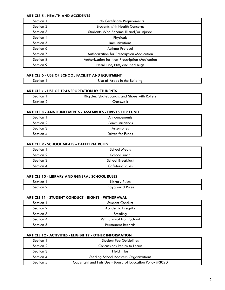## **ARTICLE 5 - HEALTH AND ACCIDENTS**

| Section 1 | <b>Birth Certificate Requirements</b>         |  |
|-----------|-----------------------------------------------|--|
| Section 2 | <b>Students with Health Concerns</b>          |  |
| Section 3 | Students Who Become III and/or Injured        |  |
| Section 4 | Physicals                                     |  |
| Section 5 | <b>Immunizations</b>                          |  |
| Section 6 | Asthma Protocol                               |  |
| Section 7 | Authorization for Prescription Medication     |  |
| Section 8 | Authorization for Non-Prescription Medication |  |
| Section 9 | Head Lice, Nits, and Bed Bugs                 |  |

# **ARTICLE 6 - USE OF SCHOOL FACILITY AND EQUIPMENT**

# **ARTICLE 7 - USE OF TRANSPORTATION BY STUDENTS**

| Section.  | Bicycles, Skateboards, and Shoes with Rollers |  |
|-----------|-----------------------------------------------|--|
| Section 2 | ∟rosswalk                                     |  |

## **ARTICLE 8 - ANNOUNCEMENTS - ASSEMBLIES - DRIVES FOR FUND**

| Section 1 | Announcements    |  |
|-----------|------------------|--|
| Section 2 | Communications   |  |
| Section 3 | Assemblies       |  |
| Section 4 | Drives for Funds |  |

## **ARTICLE 9 - SCHOOL MEALS - CAFETERIA RULES**

| Section 1 | <b>School Meals</b>     |  |
|-----------|-------------------------|--|
| Section 2 | School Lunch            |  |
| Section 3 | <b>School Breakfast</b> |  |
| Section 4 | Cafeteria Rules         |  |

## **ARTICLE 10 - LIBRARY AND GENERAL SCHOOL RULES**

| Section        | <b>Rules</b><br>Library |  |
|----------------|-------------------------|--|
| <b>nection</b> | layground Rules         |  |

# **ARTICLE 11 - STUDENT CONDUCT - RIGHTS - WITHDRAWAL**

| Section 1 | <b>Student Conduct</b>    |  |
|-----------|---------------------------|--|
| Section 2 | <b>Academic Integrity</b> |  |
| Section 3 | Stealing                  |  |
| Section 4 | Withdrawal from School    |  |
| Section 5 | <b>Permanent Records</b>  |  |

#### **ARTICLE 12 - ACTIVITIES - ELIGIBILITY - OTHER INFORMATION**

| Section 1 | <b>Student Fee Guidelines</b>                            |  |
|-----------|----------------------------------------------------------|--|
| Section 2 | Concussions Return to Learn                              |  |
| Section 3 | <b>Field Trips</b>                                       |  |
| Section 4 | <b>Sterling School Boosters Organizations</b>            |  |
| Section 5 | Copyright and Fair Use - Board of Education Policy #3020 |  |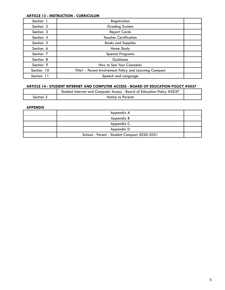## **ARTICLE 13 - INSTRUCTION - CURRICULUM**

| Section 1            | Registration                                            |  |
|----------------------|---------------------------------------------------------|--|
| Section 2            | <b>Grading System</b>                                   |  |
| Section 3            | <b>Report Cards</b>                                     |  |
| Section 4            | <b>Teacher Certification</b>                            |  |
| Section 5            | <b>Books and Supplies</b>                               |  |
| Section 6            | Home Study                                              |  |
| Section <sub>7</sub> | <b>Special Programs</b>                                 |  |
| Section 8            | Guidance                                                |  |
| Section 9            | How to See Your Counselor                               |  |
| Section 10           | Title1 - Parent Involvement Policy and Learning Compact |  |
| Section 11           | Speech and Language                                     |  |

## **ARTICLE 14 - STUDENT INTERNET AND COMPUTER ACCESS - BOARD OF EDUCATION POLICY #5037**

|           | Student Internet and Computer Access - Board of Education Policy #5037 |  |
|-----------|------------------------------------------------------------------------|--|
| Section 2 | Notice to Parents                                                      |  |

# **APPENDIX**

| Appendix A                                  |  |
|---------------------------------------------|--|
| Appendix B                                  |  |
| Appendix C                                  |  |
| Appendix D                                  |  |
| School - Parent - Student Compact 2020-2021 |  |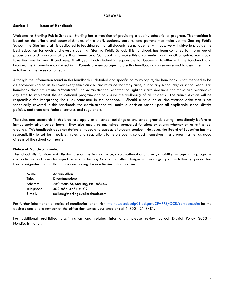#### **FORWARD**

#### **Section 1 Intent of Handbook**

Welcome to Sterling Public Schools. Sterling has a tradition of providing a quality educational program. This tradition is based on the efforts and accomplishments of the staff, students, parents, and patrons that make up the Sterling Public School. The Sterling Staff is dedicated to teaching so that all students learn. Together with you, we will strive to provide the best education for each and every student at Sterling Public School. This handbook has been compiled to inform you of procedures and programs at Sterling Elementary. Our goal is to make this a convenient and practical guide. You should take the time to read it and keep it all year. Each student is responsible for becoming familiar with the handbook and knowing the information contained in it. Parents are encouraged to use this handbook as a resource and to assist their child in following the rules contained in it.

Although the information found in this handbook is detailed and specific on many topics, the handbook is not intended to be all encompassing so as to cover every situation and circumstance that may arise, during any school day or school year. This handbook does not create a "contract." The administration reserves the right to make decisions and make rule revisions at any time to implement the educational program and to assure the wellbeing of all students. The administration will be responsible for interpreting the rules contained in the handbook. Should a situation or circumstance arise that is not specifically covered in this handbook, the administration will make a decision based upon all applicable school district policies, and state and federal statutes and regulations.

The rules and standards in this brochure apply to all school buildings or any school grounds during, immediately before or immediately after school hours. They also apply to any school-sponsored functions or events whether on or off school grounds. This handbook does not define all types and aspects of student conduct. However, the Board of Education has the responsibility to set forth policies, rules and regulations to help students conduct themselves in a proper manner as good citizens of the school community.

#### **Notice of Nondiscrimination**

The school district does not discriminate on the basis of race, color, national origin, sex, disability, or age in its programs and activites and provides equal access to the Boy Scouts and other designated youth groups. The following person has been designated to handle inquiries regarding the nondiscrimination policies:

| Name:      | Adrian Allen                     |
|------------|----------------------------------|
| Title:     | Superintendent                   |
| Address:   | 250 Main St, Sterling, NE 68443  |
| Telephone: | 402-866-4761 x102                |
| E-mail:    | aallen@sterlingpublicschools.com |

For further information on notice of nondiscrimination, visit <http://wdcrobcolp01.ed.gov/CFAPPS/OCR/contactus.cfm> for the address and phone number of the office that serves your area or call 1-800-421-3481.

For additional prohibited discrimination and related information, please review School District Policy 3053 - Nondiscrimination.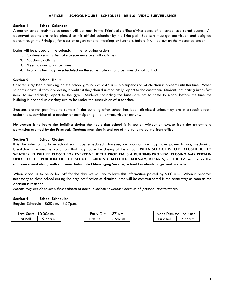## **Section 1 School Calendar**

A master school activities calendar will be kept in the Principal's office giving dates of all school sponsored events. All approved events are to be placed on this official calendar by the Principal. Sponsors must get permission and assigned date, through the Principal, for class or organizational meetings or functions before it will be put on the master calendar.

Dates will be placed on the calendar in the following order:

- 1. Conference activities take precedence over all activities
- 2. Academic activities
- 3. Meetings and practice times
- 4. Two activities may be scheduled on the same date as long as times do not conflict

## **Section 2 School Hours**

Children may begin arriving on the school grounds at 7:45 a.m. No supervision of children is present until this time. When students arrive, if they are eating breakfast they should immediately report to the cafeteria. Students not eating breakfast need to immediately report to the gym. Students not riding the buses are not to come to school before the time the building is opened unless they are to be under the supervision of a teacher.

Students are not permitted to remain in the building after school has been dismissed unless they are in a specific room under the supervision of a teacher or participating in an extracurricular activity.

No student is to leave the building during the hours that school is in session without an excuse from the parent and permission granted by the Principal. Students must sign in and out of the building by the front office.

## **Section 3 School Closing**

It is the intention to have school each day scheduled. However, on occasion we may have power failure, mechanical breakdowns, or weather conditions that may cause the closing of the school. **WHEN SCHOOL IS TO BE CLOSED DUE TO WEATHER, IT WILL BE CLOSED FOR EVERYONE. IF THE PROBLEM IS A BUILDING PROBLEM, CLOSING MAY PERTAIN ONLY TO THE PORTION OF THE SCHOOL BUILDING AFFECTED. KOLN-TV, KLKN-TV, and KETV will carry the announcement along with our own Automated Messaging Service, school Facebook page, and website.**

When school is to be called off for the day, we will try to have this information posted by 6:00 a.m. When it becomes necessary to close school during the day, notification of dismissal time will be communicated in the same way as soon as the decision is reached.

*Parents may decide to keep their children at home in inclement weather because of personal circumstances.*

#### **Section 4 School Schedules**

Regular Schedule - 8:00a.m. - 3:37p.m.

| 10:00a.m.<br>Late Start - |          | $\sim$<br>Early.<br>∪ut<br>p.m.<br>:ა/<br>$\sim$ |         | Noon Dismissal (no lunch) |       |
|---------------------------|----------|--------------------------------------------------|---------|---------------------------|-------|
| First Bell                | 9:55a.m. | - -<br>Bell<br><b>First</b>                      | :55a.m. | --<br>First Bell          | .5a.m |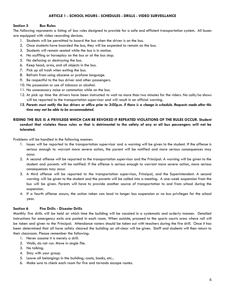# **Section 5 Bus Rules**

The following represents a listing of bus rules designed to provide for a safe and efficient transportation system. All buses are equipped with video recording devices.

- 1. Students will be permitted to board the bus when the driver is on the bus.
- 2. Once students have boarded the bus, they will be expected to remain on the bus.
- 3. Students will remain seated while the bus is in motion.
- 4. No scuffling or horseplay on the bus or at the bus stop.
- 5. No defacing or destroying the bus.
- 6. Keep head, arms, and all objects in the bus.
- 7. Pick up all trash when exiting the bus.
- 8. Refrain from using obscene or profane language.
- 9. Be respectful to the bus driver and other passengers.
- 10. No possession or use of tobacco or alcohol.
- 11. No unnecessary noise or commotion while on the bus.
- 12. At pick up time the drivers have been instructed to wait no more than two minutes for the riders. No calls/no shows will be reported to the transportation supervisor and will result in an official warning.
- 13. Parents must notify the bus drivers or office prior to 3:00p.m. if there is a change in schedule. Requests made after this *time may not be able to be accommodated.*

# RIDING THE BUS IS A PRIVILEGE WHICH CAN BE REVOKED IF REPEATED VIOLATIONS OF THE RULES OCCUR. Student conduct that violates these rules or that is detrimental to the safety of any or all bus passengers will not be **tolerated.**

Problems will be handled in the following manner:

- 1. Issues will be reported to the transportation supervisor and a warning will be given to the student. If the offense is serious enough to warrant more severe action, the parent will be notified and more serious consequences may occur.
- 2. A second offense will be reported to the transportation supervisor and the Principal. A warning will be given to the student and parents will be notified. If the offense is serious enough to warrant more severe action, more serious consequences may occur.
- 3. A third offense will be reported to the transportation supervisor, Principal, and the Superintendent. A second warning will be given to the student and the parents will be called into a meeting. A one-week suspension from the bus will be given. Parents will have to provide another source of transportation to and from school during the suspension.
- 4. If a fourth offense occurs, the action taken can lead to longer bus suspension or no bus privileges for the school year.

#### **Section 6 Fire Drills - Disaster Drills**

Monthly fire drills will be held at which time the building will be vacated in a systematic and orderly manner. Detailed instructions for emergency exits are posted in each room. When outside, proceed to the sports courts area where roll will be taken and given to the Principal. Attendance rosters should be taken out with teachers during the fire drill. Once it has been determined that all have safely cleared the building an all-clear will be given. Staff and students will then return to their classroom. Please remember the following:

- 1. Never assume it is merely a drill.
- 2. Walk; do not run. Move in single file.
- 3. No talking.
- 4. Stay with your group.
- 5. Leave all belongings in the building; coats, books, etc...
- 6. Make sure to check each room for fire and tornado escape routes.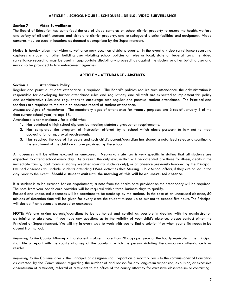#### **Section 7 Video Surveillance**

The Board of Education has authorized the use of video cameras on school district property to ensure the health, welfare and safety of all staff, students and visitors to district property, and to safeguard district facilities and equipment. Video cameras may be used in locations as deemed appropriate by the Superintendent.

Notice is hereby given that video surveillance may occur on district property. In the event a video surveillance recording captures a student or other building user violating school policies or rules or local, state or federal laws, the video surveillance recording may be used in appropriate disciplinary proceedings against the student or other building user and may also be provided to law enforcement agencies.

## **ARTICLE 2 - ATTENDANCE - ABSENCES**

#### **Section 1 Attendance Policy**

Regular and punctual student attendance is required. The Board's policies require such attendance, the administration is responsible for developing further attendance rules and regulations, and all staff are expected to implement this policy and administrative rules and regulations to encourage such regular and punctual student attendance. The Principal and teachers are required to maintain an accurate record of student attendance.

*Mandatory Ages of Attendance -* The mandatory ages of attendance for truancy purposes are 6 (as of January 1 of the then current school year) to age 18.

Attendance is not mandatory for a child who:

- 1. Has obtained a high school diploma by meeting statutory graduation requirements.
- 2. Has completed the program of instruction offered by a school which elects pursuant to law not to meet accreditation or approval requirements.
- 3. Has reached the age of 16 years and such child's parent/guardian has signed a notarized release discontinuing the enrollment of the child on a form provided by the school.

All absences will be either excused or unexcused. Nebraska state law is very specific in stating that all students are expected to attend school every day. As a result, the only excuse that will be accepted are those for illness, death in the immediate family, bad roads in stormy weather (country students only), or an absence previously honored by the Principal. Excused absences will include students attending NSAA activities that Sterling Public School offers, if they are called in the day prior to the event**. Should a student wait until the morning of, this will be an unexcused absence.**

If a student is to be excused for an appointment, a note from the health care provider on their stationery will be required. The note from your health care provider will be required within three business days to qualify.

Excused and unexcused absences will be permitted to be made up by the student. In the case of an unexcused absence, 50 minutes of detention time will be given for every class the student missed up to but not to exceed five hours. The Principal will decide if an absence is excused or unexcused.

**NOTE:** We are asking parents/guardians to be as honest and cordial as possible in dealing with the administration pertaining to absences. If you have any questions as to the validity of your child's absence, please contact either the Principal or Superintendent. We will try in every way to work with you to find a solution if or when your child needs to be absent from school.

*Reporting to the County Attorney -* If a student is absent more than 20 days per year or the hourly equivalent, the Principal shall file a report with the county attorney of the county in which the person violating the compulsory attendance laws resides.

*Reporting to the Commissioner -* The Principal or designee shall report on a monthly basis to the commissioner of Education as directed by the Commissioner regarding the number of and reason for any long-term suspension, expulsion, or excessive absenteeism of a student; referral of a student to the office of the county attorney for excessive absenteeism or contacting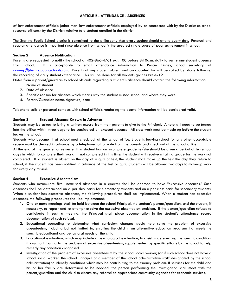# **ARTICLE 2 - ATTENDANCE - ABSENCES**

of law enforcement officials (other than law enforcement officials employed by or contracted with by the District as school resource officers) by the District; relative to a student enrolled in the district.

The Sterling Public School district is committed to the philosophy that every student should attend every day. Punctual and regular attendance is important since absence from school is the greatest single cause of poor achievement in school.

# **Section 2 Absence Notification**

Parents are requested to notify the school at 402-866-4761 ext. 100 before 8:10a.m. daily to verify any student absence from school. It is acceptable to email attendance information to Renae Kinney, school secretary, at [rkinney@sterlingpublicschools.com.](mailto:rkinney@sterlingpublicschools.com) Parents of any student absent and unaccounted for will be called by phone following the recording of daily student attendance. This will be done for all students grades Pre-K-12.

Notes from a parent/guardian to school officials regarding a student's absence should contain the following information:

- 1. Name of student
- 2. Date of absence
- 3. Specific reason for absence which means why the student missed school and where they were
- 4. Parent/Guardian name, signature, date

Telephone calls or personal contacts with school officials rendering the above information will be considered valid.

## **Section 3 Excused Absence Known in Advance**

Students may be asked to bring a written excuse from their parents to give to the Principal. A note will need to be turned into the office within three days to be considered an excused absence. All class work must be made up **before** the student leaves the school.

Students who become ill at school must check out at the school office. Students leaving school for any other acceptable reason must be cleared in advance by a telephone call or note from the parents and check out at the school office.

At the end of the quarter or semester if a student has an Incomplete grade he/she should be given a period of ten school days in which to complete their work. If not completed in this time, the student will receive a failing grade for the work not completed. If a student is absent on the day of a quiz or test, the student shall make up the test the day they return to school, if the student has been notified in advance of the test or quiz. Students will be allowed two days to make-up work for every day missed.

#### **Section 4 Excessive Absenteeism**

Students who accumulate five unexcused absences in a quarter shall be deemed to have "excessive absences." Such absences shall be determined on a per day basis for elementary students and on a per class basis for secondary students. When a student has excessive absences, the following procedures shall be implemented. When a student has excessive absences, the following procedures shall be implemented:

- 1. One or more meetings shall be held between the school Principal, the student's parent/guardian, and the student, if necessary, to report and to attempt to solve the excessive absenteeism problem. If the parent/guardian refuses to participate in such a meeting, the Principal shall place documentation in the student's attendance record documentation of such refusal.
- 2. Educational counseling to determine what curriculum changes would help solve the problem of excessive absenteeism, including but not limited to, enrolling the child in an alternative education program that meets the specific educational and behavioral needs of the child.
- 3. Educational evaluation, which may include a psychological evaluation, to assist in determining the specific condition, if any, contributing to the problem of excessive absenteeism, supplemented by specific efforts by the school to help remedy any condition diagnosed.
- 4. Investigation of the problem of excessive absenteeism by the school social worker, (or if such school does not have a school social worker, the school Principal or a member of the school administrative staff designated by the school administration) to identify conditions which may be contributing to the truancy problem. If services for the child and his or her family are determined to be needed, the person performing the investigation shall meet with the parent/guardian and the child to discuss any referral to appropriate community agencies for economic services,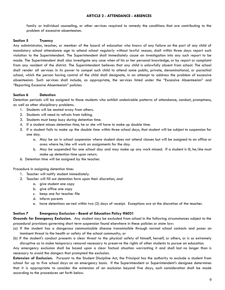#### **ARTICLE 2 - ATTENDANCE - ABSENCES**

family or individual counseling, or other services required to remedy the conditions that are contributing to the problem of excessive absenteeism.

#### **Section 5 Truancy**

Any administrator, teacher, or member of the board of education who knows of any failure on the part of any child of mandatory school attendance age to attend school regularly without lawful reason, shall within three days report such violation to the Superintendent. The Superintendent shall immediately cause an investigation into any such report to be made. The Superintendent shall also investigate any case when of his or her personal knowledge, or by report or complaint from any resident of the district. The Superintendent believes that any child is unlawfully absent from school. The school shall render all services in its power to compel such child to attend some public, private, denominational, or parochial school, which the person having control of the child shall designate, in an attempt to address the problem of excessive absenteeism. Such services shall include, as appropriate, the services listed under the "Excessive Absenteeism" and "Reporting Excessive Absenteeism" policies.

#### **Section 6 Detention**

Detention periods will be assigned to those students who exhibit undesirable patterns of attendance, conduct, promptness, as well as other disciplinary problems.

- 1. Students will be seated away from others.
- 2. Students will need to refrain from talking.
- 3. Students must keep busy during detention time.
- 4. If a student misses detention time, he or she will have to make up double time.
- 5. If a student fails to make up the double time within three school days, that student will be subject to suspension for one day.
	- a. May be an in school suspension where student does not attend classes but will be assigned to an office or area where he/she will work on assignments for the day.
	- b. May be suspended for one school day and may make up any work missed. If a student is ill, he/she must make up detention time upon return.
- 6. Detention time will be assigned by the teacher.

Procedure in assigning detention time:

- 1. Teacher will notify student immediately.
- 2. Teacher will fill out detention form upon their discretion, and
	- a. give student one copy
	- b. give office one copy
	- c. keep one for teacher file
	- d. inform parents
	- e. have detentions served within two (2) days of receipt. Exceptions are at the discretion of the teacher.

#### **Section 7 Emergency Exclusion - Board of Education Policy #6031**

**Grounds for Emergency Exclusion.** Any student may be excluded from school in the following circumstances subject to the procedural provisions governing short term suspension found elsewhere in these policies or state law:

- (a) If the student has a dangerous communicable disease transmissible through normal school contacts and poses an imminent threat to the health or safety of the school community; or
- (b) If the student's conduct presents a clear threat to the physical safety of himself, herself, or others, or is so extremely disruptive as to make temporary removal necessary to preserve the rights of other students to pursue an education.

Any emergency exclusion shall be based upon a clear factual situation warranting it and shall last no longer than is necessary to avoid the dangers that prompted the exclusion.

**Extension of Exclusion.** Pursuant to the Student Discipline Act, the Principal has the authority to exclude a student from school for up to five school days on an emergency basis. If the Superintendent or Superintendent's designee determines that it is appropriate to consider the extension of an exclusion beyond five days, such consideration shall be made according to the procedures set forth below.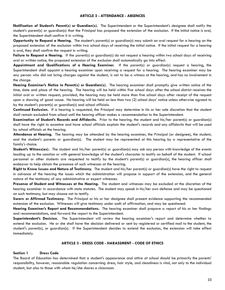#### **ARTICLE 2 - ATTENDANCE - ABSENCES**

**Notification of Student's Parent(s) or Guardian(s).** The Superintendent or the Superintendent's designee shall notify the student's parent(s) or guardian(s) that the Principal has proposed the extension of the exclusion. If the initial notice is oral, the Superintendent shall confirm it in writing.

**Opportunity to Request a Hearing.** The student's parent(s) or guardian(s) may submit an oral request for a hearing on the proposed extension of the exclusion within two school days of receiving the initial notice. If the initial request for a hearing is oral, they shall confirm the request in writing.

**Failure to Request a Hearing.** If the parent(s) or guardian(s) do not request a hearing within two school days of receiving oral or written notice, the proposed extension of the exclusion shall automatically go into effect.

**Appointment and Qualifications of a Hearing Examiner.** If the parent(s) or guardian(s) request a hearing, the Superintendent shall appoint a hearing examiner upon receiving a request for a hearing. The hearing examiner may be any person who did not bring charges against the student, is not to be a witness at the hearing, and has no involvement in the charge.

**Hearing Examiner's Notice to Parent(s) or Guardian(s).** The hearing examiner shall promptly give written notice of the time, date and place of the hearing. The hearing will be held within five school days after the school district receives the initial oral or written request; provided, the hearing may be held more than five school days after receipt of the request upon a showing of good cause. No hearing will be held on less than two (2) school days' notice unless otherwise agreed to by the student's parent(s) or guardian(s) and school officials.

**Continued Exclusion.** If a hearing is requested, the Principal may determine in his or her sole discretion that the student shall remain excluded from school until the hearing officer makes a recommendation to the Superintendent.

**Examination of Student's Records and Affidavits.** Prior to the hearing, the student and his/her parent(s) or guardian(s) shall have the right to examine and have school officials explain the student's records and any affidavits that will be used by school officials at the hearing.

**Attendance at Hearing.** The hearing may be attended by the hearing examiner, the Principal (or designee), the student, and the student's parents or guardian(s). The student may be represented at this hearing by a representative of the family's choice.

**Student's Witness(es).** The student and his/her parent(s) or guardian(s) may ask any person with knowledge of the events leading up to the sanction or with general knowledge of the student's character to testify on behalf of the student. If school personnel or other students are requested to testify by the student's parent(s) or guardian(s), the hearing officer shall endeavor to help obtain the presence of such witnesses at the hearing.

**Right to Know Issues and Nature of Testimony.** The student and his/her parent(s) or guardian(s) have the right to request in advance of the hearing the issues which the administration will propose in support of the extension, and the general nature of the testimony of any administrative or expert witnesses.

**Presence of Student and Witnesses at the Hearing.** The student and witnesses may be excluded at the discretion of the hearing examiner in accordance with state statutes. The student may speak in his/her own defense and may be questioned on such testimony, but may choose not to testify.

**Sworn or Affirmed Testimony***.* The Principal or his or her designee shall present evidence supporting the recommended extension of the exclusion. Witnesses will give testimony under oath of affirmation, and may be questioned.

**Hearing Examiner's Report and Recommendations***.* The hearing examiner shall prepare a report of his or her findings and recommendations, and forward the report to the Superintendent.

**Superintendent's Decision.** The Superintendent will review the hearing examiner's report and determine whether to extend the exclusion. He or she shall have the decision delivered or sent by registered or certified mail to the student, the student's parent(s), or guardian(s). If the Superintendent decides to extend the exclusion, the extension will take effect immediately.

#### **ARTICLE 3 - DRESS CODE - HARASSMENT - CODE OF ETHICS**

#### **Section 1 Dress Code**

The Board of Education has determined that a student's appearance and attire at school should be primarily the parents' responsibility, however, reasonable regulation concerning dress, hair style, and cleanliness is vital, not only to the individual student, but also to those with whom he/she shares a classroom.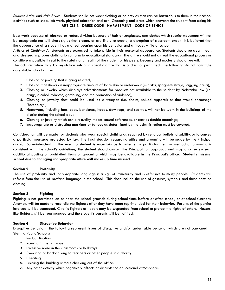*Student Attire and Hair Styles:* Students should not wear clothing or hair styles that can be hazardous to them in their school activities such as shop, lab work, physical education and art. Grooming and dress which prevents the student from doing his **ARTICLE 3 - DRESS CODE - HARASSMENT - CODE OF ETHICS**

best work because of blocked or reduced vision because of hair or sunglasses, and clothes which restrict movement will not be acceptable nor will dress styles that create, or are likely to create, a disruption of classroom order. It is believed that the appearance of a student has a direct bearing upon his behavior and attitudes while at school.

*Articles of Clothing:* All students are expected to take pride in their personal appearance. Students should be clean, neat, and dressed in proper clothing to conform to educational standards. The attire should not disrupt the educational process or constitute a possible threat to the safety and health of the student or his peers. Decency and modesty should prevail.

The administration may by regulation establish specific attire that is and is not permitted. The following do not constitute acceptable school attire:

- 1. Clothing or jewelry that is gang related;
- 2. Clothing that shows an inappropriate amount of bare skin or underwear (midriffs, spaghetti straps, sagging pants);
- 3. Clothing or jewelry which displays advertisements for products not available to the student by Nebraska law (i.e. drugs, alcohol, tobacco, gambling, and the promotion of violence);
- 4. Clothing or jewelry that could be used as a weapon (i.e. chains, spiked apparel) or that would encourage "horseplay";
- 5. Headwear, including hats, caps, bandanas, hoods, dew rags, and scarves, will not be worn in the buildings of the district during the school day;
- 6. Clothing or jewelry which exhibits nudity, makes sexual references, or carries double meanings;
- 7. Inappropriate or distracting markings or tattoos as determined by the administration must be covered.

Consideration will be made for students who wear special clothing as required by religious beliefs, disability, or to convey a particular message protected by law. The final decision regarding attire and grooming will be made by the Principal and/or Superintendent. In the event a student is uncertain as to whether a particular item or method of grooming is consistent with the school's guidelines, the student should contact the Principal for approval, and may also review such additional posting of prohibited items or grooming which may be available in the Principal's office. **Students missing school due to changing inappropriate attire will make up time missed.**

#### **Section 2 Profanity**

The use of profanity and inappropriate language is a sign of immaturity and is offensive to many people. Students will refrain from the use of profane language in the school. This does include the use of gestures, symbols, and these items on clothing.

#### **Section 3 Fighting**

Fighting is not permitted on or near the school grounds during school time, before or after school, or at school functions. Attempts will be made to reconcile the fighters after they have been reprimanded for their behavior. Parents of the parties involved will be contacted. Chronic fighters or hazers may be suspended from school to protect the rights of others. Hazers, like fighters, will be reprimanded and the student's parents will be notified.

#### **Section 4 Disruptive Behavior**

Disruptive Behavior: the following represent types of disruptive and/or undesirable behavior which are not condoned in Sterling Public Schools:

- 1. Insubordination
- 2. Running in the hallways
- 3. Excessive noise in the classrooms or hallways
- 4. Swearing or back-talking to teachers or other people in authority
- 5. Cheating
- 6. Leaving the building without checking out of the office.
- 7. Any other activity which negatively affects or disrupts the educational atmosphere.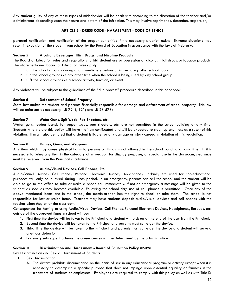Any student guilty of any of these types of misbehavior will be dealt with according to the discretion of the teacher and/or administrator depending upon the nature and extent of the infraction. This may involve reprimands, detention, suspension,

# **ARTICLE 3 - DRESS CODE - HARASSMENT - CODE OF ETHICS**

parental notification, and notification of the proper authorities if the necessary situation exists. Extreme situations may result in expulsion of the student from school by the Board of Education in accordance with the laws of Nebraska.

# **Section 5 Alcoholic Beverages, Illicit Drugs, and Nicotine Products**

The Board of Education rules and regulations forbid student use or possession of alcohol, illicit drugs, or tobacco products. The aforementioned board of Education rules apply:

- 1. On the school grounds during and immediately before or immediately after school hours.
- 2. On the school grounds at any other time when the school is being used by any school group.
- 3. Off the school grounds at a school activity, function, or event.

Any violators will be subject to the guidelines of the "due process" procedure described in this handbook.

## **Section 6 Defacement of School Property**

State law makes the student and parents financially responsible for damage and defacement of school property. This law will be enforced as necessary. (LB 79-4, 121; and LB 28-578)

## **Section 7 Water Guns, Spit Wads, Pea Shooters, etc.**

Water guns, rubber bands for paper wads, pea shooters, etc. are not permitted in the school building at any time. Students who violate this policy will have the item confiscated and will be expected to clean up any mess as a result of this violation. It might also be noted that a student is liable for any damage or injury caused in violation of this regulation.

## **Section 8 Knives, Guns, and Weapons**

Any item which may cause physical harm to persons or things is not allowed in the school building at any time. If it is necessary to bring any item in the category of a weapon for display purposes, or special use in the classroom, clearance must be received from the Principal in advance.

#### **Section 9 Audio/Visual Devices, Cell Phones, Etc.**

Audio/Visual Devices, Cell Phones, Personal Electronic Devices, Headphones, Earbuds, etc. used for non-educational purposes will only be allowed during lunch period. In an emergency, parents can call the school and the student will be able to go to the office to take or make a phone call immediately. If not an emergency a message will be given to the student as soon as they become available. Following the school day, use of cell phones is permitted. Once any of the above mentioned items are in the school, the administration has the right to check or take them. The school is not responsible for lost or stolen items. Teachers may have students deposit audio/visual devices and cell phones with the teacher when they enter the classroom.

Consequences for having or using Audio/Visual Devices, Cell Phones, Personal Electronic Devices, Headphones, Earbuds, etc. outside of the approved times in school will be:

- 1. First time the device will be taken to the Principal and student will pick up at the end of the day from the Principal.
- 2. Second time the device will be taken to the Principal and parents must come get the device.
- 3. Third time the device will be taken to the Principal and parents must come get the device and student will serve a one-hour detention.
- 4. For every subsequent offense the consequences will be determined by the administration.

#### **Section 10 Discrimination and Harassment - Board of Education Policy #5026**

Sex Discrimination and Sexual Harassment of Students

- I. Sex Discrimination
	- A. The district prohibits discrimination on the basis of sex in any educational program or activity except when it is necessary to accomplish a specific purpose that does not impinge upon essential equality or fairness in the treatment of students or employees. Employees are required to comply with this policy as well as with Title IX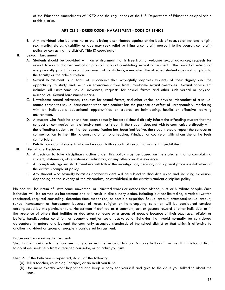of the Education Amendments of 1972 and the regulations of the U.S. Department of Education as applicable to this district.

# **ARTICLE 3 - DRESS CODE - HARASSMENT - CODE OF ETHICS**

- B. Any individual who believes he or she is being discriminated against on the basis of race, color, national origin, sex, marital status, disability, or age may seek relief by filing a complaint pursuant to the board's complaint policy or contacting the district's Title IX coordinator.
- II. Sexual Harassment
	- A. Students should be provided with an environment that is free from unwelcome sexual advances, requests for sexual favors and other verbal or physical conduct constituting sexual harassment. The board of education unequivocally prohibits sexual harassment of its students, even when the affected student does not complain to the faculty or the administration.
	- B. Sexual harassment is a form of misconduct that wrongfully deprives students of their dignity and the opportunity to study and be in an environment free from unwelcome sexual overtones. Sexual harassment includes all unwelcome sexual advances, requests for sexual favors and other such verbal or physical misconduct. Sexual harassment means:
	- C. Unwelcome sexual advances, requests for sexual favors, and other verbal or physical misconduct of a sexual nature constitutes sexual harassment when such conduct has the purpose or effect of unreasonably interfering with an individual's educational opportunities or creates an intimidating, hostile or offensive learning environment.
	- D. A student who feels he or she has been sexually harassed should directly inform the offending student that the conduct or communication is offensive and must stop. If the student does not wish to communicate directly with the offending student, or if direct communication has been ineffective, the student should report the conduct or communication to the Title IX coordinator or to a teacher, Principal or counselor with whom she or he feels comfortable.
	- E. Retaliation against students who make good faith reports of sexual harassment is prohibited.
- III. Disciplinary Decisions
	- A. A decision to take disciplinary action under this policy may be based on the statements of a complaining student, statements, observations of educators, or any other credible evidence.
	- B. All complaints against staff members will follow the investigation, decision, and appeal process established in the district's complaint policy.
	- C. Any student who sexually harasses another student will be subject to discipline up to and including expulsion, depending on the severity of the misconduct, as established in the district's student discipline policy.

No one will be victim of unwelcome, unwanted, or uninvited words or actions that offend, hurt, or humiliate people. Such behavior will be termed as harassment and will result in disciplinary action, including but not limited to, a verbal/written reprimand, required counseling, detention time, suspension, or possible expulsion. Sexual assault, attempted sexual assault, sexual harassment or harassment because of race, religion or handicapping condition will be considered conduct encompassed by this particular rule. Harassment if defined as a comment, act, or gesture toward another individual or in the presence of others that belittles or degrades someone or a group of people because of their sex, race, religion or beliefs, handicapping condition, or economic and/or social background. Behavior that would normally be considered derogatory in nature and beyond the commonly accepted standards of the school district or that which is offensive to another individual or group of people is considered harassment.

# Procedure for reporting harassment:

Step 1: Communicate to the harasser that you expect the behavior to stop. Do so verbally or in writing. If this is too difficult to do alone, seek help from a teacher, counselor, or an adult you trust.

Step 2: If the behavior is repeated, do all of the following:

- (a) Tell a teacher, counselor, Principal, or an adult you trust.
- (b) Document exactly what happened and keep a copy for yourself and give to the adult you talked to about the issue.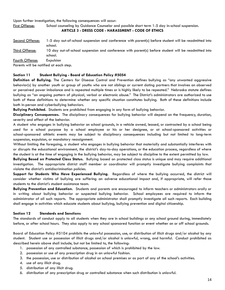Upon further investigation, the following consequences will occur:

First Offense: School counseling by Guidance Counselor and possible short term 1-5 day in-school suspension.

```
ARTICLE 3 - DRESS CODE - HARASSMENT - CODE OF ETHICS
```
- Second Offense: 1-5 day out-of-school suspension and conference with parent(s) before student will be readmitted into school.
- Third Offense: 10 day out-of-school suspension and conference with parent(s) before student will be readmitted into school.

Fourth Offense: Expulsion

Parents will be notified at each step.

## **Section 11 Student Bullying - Board of Education Policy #5054**

**Definition of Bullying.** The Centers for Disease Control and Prevention defines bullying as "any unwanted aggressive behavior(s) by another youth or group of youths who are not siblings or current dating partners that involves an observed or perceived power imbalance and is repeated multiple times or is highly likely to be repeated." Nebraska statute defines bullying as "an ongoing pattern of physical, verbal or electronic abuse." The District's administrators are authorized to use both of these definitions to determine whether any specific situation constitutes bullying. Both of these definitions include both in-person and cyberbullying behaviors.

**Bullying Prohibited.** Students are prohibited from engaging in any form of bullying behavior.

**Disciplinary Consequences.** The disciplinary consequences for bullying behavior will depend on the frequency, duration, severity and effect of the behavior.

A student who engages in bullying behavior on school grounds, in a vehicle owned, leased, or contracted by a school being used for a school purpose by a school employee or his or her designee, or at school-sponsored activities or school-sponsored athletic events may be subject to disciplinary consequences including but not limited to long-term suspension, expulsion, or mandatory reassignment.

Without limiting the foregoing, a student who engages in bullying behavior that materially and substantially interferes with or disrupts the educational environment, the district's day-to-day operations, or the education process, regardless of where the student is at the time of engaging in the bullying behavior, may be subject to discipline to the extent permitted by law.

**Bullying Based on Protected Class Status.** Bullying based on protected class status is unique and may require additional investigation. The appropriate district staff member or coordinator will promptly investigate bullying complaints that violate the district's antidiscrimination policies.

**Support for Students Who Have Experienced Bullying.** Regardless of where the bullying occurred, the district will consider whether victims of bullying are suffering an adverse educational impact and, if appropriate, will refer those students to the district's student assistance team.

**Bullying Prevention and Education.** Students and parents are encouraged to inform teachers or administrators orally or in writing about bullying behavior or suspected bullying behavior. School employees are required to inform the administrator of all such reports. The appropriate administrator shall promptly investigate all such reports. Each building shall engage in activities which educate students about bullying, bullying prevention and digital citizenship.

#### **Section 12 Standards and Sanctions**

The standards of conduct apply to all students when they are in school buildings or any school ground during, immediately before, or after school hours. They also apply to any school sponsored function or event whether on or off school grounds.

Board of Education Policy #5104 prohibits the unlawful possession, use, or distribution of illicit drugs and/or alcohol by any student. Student use or possession of illicit drugs and/or alcohol is unlawful, wrong, and harmful. Conduct prohibited as described herein above shall include, but not be limited to, the following:

- 1. possession of any controlled substance, possession of which is prohibited by the law.
- 2. possession or use of any prescription drug in an unlawful fashion.
- 3. the possession, use or distribution of alcohol on school premises or as part of any of the school's activities.
- 4. use of any illicit drug.
- 5. distribution of any illicit drug.
- 6. distribution of any prescription drug or controlled substance when such distribution is unlawful.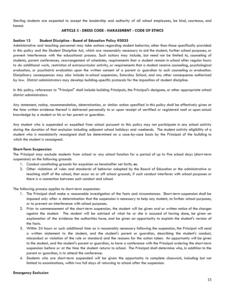Sterling students are expected to accept the leadership and authority of all school employees, be kind, courteous, and honest.

## **ARTICLE 3 - DRESS CODE - HARASSMENT - CODE OF ETHICS**

## **Section 13 Student Discipline - Board of Education Policy #5035**

Administrative and teaching personnel may take actions regarding student behavior, other than those specifically provided in this policy and the Student Discipline Act, which are reasonably necessary to aid the student, further school purposes, or prevent interference with the educational process. Such actions may include, but need not be limited to, counseling of students, parent conferences, rearrangement of schedules, requirements that a student remain in school after regular hours to do additional work, restriction of extracurricular activity, or requirements that a student receive counseling, psychological evaluation, or psychiatric evaluation upon the written consent of a parent or guardian to such counseling or evaluation. Disciplinary consequences may also include in-school suspension, Saturday School, and any other consequence authorized by law. District administrators may develop building-specific protocols for the imposition of student discipline.

In this policy, references to "Principal" shall include building Principals, the Principal's designee, or other appropriate school district administrators.

Any statement, notice, recommendation, determination, or similar action specified in this policy shall be effectively given at the time written evidence thereof is delivered personally to or upon receipt of certified or registered mail or upon actual knowledge by a student or his or her parent or guardian.

Any student who is suspended or expelled from school pursuant to this policy may not participate in any school activity during the duration of that exclusion including adjacent school holidays and weekends. The student activity eligibility of a student who is mandatorily reassigned shall be determined on a case-by-case basis by the Principal of the building to which the student is reassigned.

#### **Short-Term Suspension**

The Principal may exclude students from school or any school function for a period of up to five school days (short-term suspension) on the following grounds:

- 1. Conduct constituting grounds for expulsion as hereinafter set forth; **or,**
- 2. Other violations of rules and standards of behavior adopted by the Board of Education or the administrative or teaching staff of the school, that occur on or off school grounds, if such conduct interferes with school purposes or there is a connection between such conduct and school.

The following process applies to short-term suspension:

- 1. The Principal shall make a reasonable investigation of the facts and circumstances. Short-term suspension shall be imposed only after a determination that the suspension is necessary to help any student, to further school purposes, or to prevent an interference with school purposes.
- 2. Prior to commencement of the short-term suspension, the student will be given oral or written notice of the charges against the student. The student will be advised of what he or she is accused of having done, be given an explanation of the evidence the authorities have, and be given an opportunity to explain the student's version of the facts.
- 3. Within 24 hours or such additional time as is reasonably necessary following the suspension, the Principal will send a written statement to the student, and the student's parent or guardian, describing the student's conduct, misconduct or violation of the rule or standard and the reasons for the action taken. An opportunity will be given to the student, and the student's parent or guardian, to have a conference with the Principal ordering the short-term suspension before or at the time the student returns to school. The Principal shall determine who, in addition to the parent or guardian, is to attend the conference.
- 4. Students who are short-term suspended will be given the opportunity to complete classwork, including but not limited to examinations, within two full days of returning to school after the suspension.

#### **Emergency Exclusion**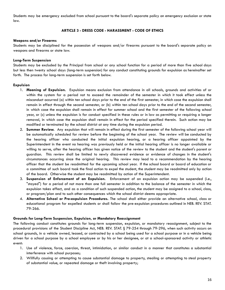Students may be emergency excluded from school pursuant to the board's separate policy on emergency exclusion or state law.

# **ARTICLE 3 - DRESS CODE - HARASSMENT - CODE OF ETHICS**

#### **Weapons and/or Firearms**

Students may be disciplined for the possession of weapons and/or firearms pursuant to the board's separate policy on weapons and firearms or state law.

## **Long-Term Suspension**

Students may be excluded by the Principal from school or any school function for a period of more than five school days but less then twenty school days (long-term suspension) for any conduct constituting grounds for expulsion as hereinafter set forth. The process for long-term suspension is set forth below.

## **Expulsion**

- 1. **Meaning of Expulsion.** Expulsion means exclusion from attendance in all schools, grounds and activities of or within the system for a period not to exceed the remainder of the semester in which it took effect unless the misconduct occurred (a) within ten school days prior to the end of the first semester, in which case the expulsion shall remain in effect through the second semester, or (b) within ten school days prior to the end of the second semester, in which case the expulsion shall remain in effect for summer school and the first semester of the following school year, or (c) unless the expulsion is for conduct specified in these rules or in law as permitting or requiring a longer removal, in which case the expulsion shall remain in effect for the period specified therein. Such action may be modified or terminated by the school district at any time during the expulsion period.
- 2. **Summer Review.** Any expulsion that will remain in effect during the first semester of the following school year will be automatically scheduled for review before the beginning of the school year. The review will be conducted by the hearing officer who conducted the initial expulsion hearing, or a hearing officer appointed by the Superintendent in the event no hearing was previously held or the initial hearing officer is no longer available or willing to serve, after the hearing officer has given notice of the review to the student and the student's parent or guardian. This review shall be limited to newly discovered evidence or evidence of changes in the student's circumstances occurring since the original hearing. This review may lead to a recommendation by the hearing officer that the student be readmitted for the upcoming school year. If the school board or board of education or a committee of such board took the final action to expel the student, the student may be readmitted only by action of the board. Otherwise the student may be readmitted by action of the Superintendent.
- 3. **Suspension of Enforcement of an Expulsion.** Enforcement of an expulsion action may be suspended (i.e., "stayed") for a period of not more than one full semester in addition to the balance of the semester in which the expulsion takes effect, and as a condition of such suspended action, the student may be assigned to a school, class, or program/plan and to such other consequences which the school district deems appropriate.
- 4. **Alternative School or Pre-expulsion Procedures.** The school shall either provide an alternative school, class or educational program for expelled students or shall follow the pre-expulsion procedures outlined in NEB. REV. STAT. 79-266.

# **Grounds for Long-Term Suspension, Expulsion, or Mandatory Reassignment**

The following conduct constitutes grounds for long-term suspension, expulsion, or mandatory reassignment, subject to the procedural provisions of the Student Discipline Act, NEB. REV. STAT. § 79-254 through 79-296, when such activity occurs on school grounds, in a vehicle owned, leased, or contracted by a school being used for a school purpose or in a vehicle being driven for a school purpose by a school employee or by his or her designee, or at a school-sponsored activity or athletic event:

- 1. Use of violence, force, coercion, threat, intimidation, or similar conduct in a manner that constitutes a substantial interference with school purposes;
- 2. Willfully causing or attempting to cause substantial damage to property, stealing or attempting to steal property of substantial value, or repeated damage or theft involving property;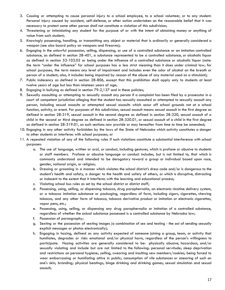- 3. Causing or attempting to cause personal injury to a school employee, to a school volunteer, or to any student. Personal injury caused by accident, self-defense, or other action undertaken on the reasonable belief that it was necessary to protect some other person shall not constitute a violation of this subdivision;
- 4. Threatening or intimidating any student for the purpose of or with the intent of obtaining money or anything of value from such student;
- 5. Knowingly possessing, handling, or transmitting any object or material that is ordinarily or generally considered a weapon (see also board policy on weapons and firearms);
- 6. Engaging in the unlawful possession, selling, dispensing, or use of a controlled substance or an imitation controlled substance, as defined in section 28-401, a substance represented to be a controlled substance, or alcoholic liquor as defined in section 53-103.02 or being under the influence of a controlled substance or alcoholic liquor (note: the term "under the influence" for school purposes has a less strict meaning than it does under criminal law; for school purposes, the term means any level of impairment and includes even the odor of alcohol on the breath or person of a student; also, it includes being impaired by reason of the abuse of any material used as a stimulant);
- 7. Public indecency as defined in section 28-806, except that this prohibition shall apply only to students at least twelve years of age but less than nineteen years of age;
- 8. Engaging in bullying as defined in section 79-2,137 and in these policies;
- 9. Sexually assaulting or attempting to sexually assault any person if a complaint has been filed by a prosecutor in a court of competent jurisdiction alleging that the student has sexually assaulted or attempted to sexually assault any person, including sexual assaults or attempted sexual assaults which occur off school grounds not at a school function, activity, or event. For purposes of this subdivision, sexual assault means sexual assault in the first degree as defined in section 28-319, sexual assault in the second degree as defined in section 28-320, sexual assault of a child in the second or third degree as defined in section 28-320.01, or sexual assault of a child in the first degree as defined in section 28-319.01, as such sections now provide or may hereafter from time to time be amended;
- 10. Engaging in any other activity forbidden by the laws of the State of Nebraska which activity constitutes a danger to other students or interferes with school purposes; or
- 11. A repeated violation of any of the following rules if such violations constitute a substantial interference with school purposes:
	- a. The use of language, written or oral, or conduct, including gestures, which is profane or abusive to students or staff members. Profane or abusive language or conduct includes, but is not limited to, that which is commonly understood and intended to be derogatory toward a group or individual based upon race, gender, national origin, or religion;
	- b. Dressing or grooming in a manner which violates the school district's dress code and/or is dangerous to the student's health and safety, a danger to the health and safety of others, or which is disruptive, distracting or indecent to the extent that it interferes with the learning and educational process;
	- c. Violating school bus rules as set by the school district or district staff;
	- d. Possessing, using, selling, or dispensing tobacco, drug paraphernalia, an electronic nicotine delivery system, or a tobacco imitation substance or packaging, regardless of form, including cigars, cigarettes, chewing tobacco, and any other form of tobacco, tobacco derivative product or imitation or electronic cigarettes, vapor pens, etc.;
	- e. Possessing, using, selling, or dispensing any drug paraphernalia or imitation of a controlled substance, regardless of whether the actual substance possessed is a controlled substance by Nebraska law;
	- f. Possession of pornography;
	- g. Sexting or the possession of sexting images (a combination of sex and texting the act of sending sexually explicit messages or photos electronically);
	- h. Engaging in hazing, defined as any activity expected of someone joining a group, team, or activity that humiliates, degrades or risks emotional and/or physical harm, regardless of the person's willingness to participate. Hazing activities are generally considered to be: physically abusive, hazardous, and/or sexually violating and include but are not limited to the following: personal servitude; sleep deprivation and restrictions on personal hygiene; yelling, swearing and insulting new members/rookies; being forced to wear embarrassing or humiliating attire in public; consumption of vile substances or smearing of such on one's skin; branding; physical beatings; binge drinking and drinking games; sexual simulation and sexual assault;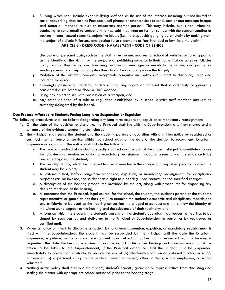i. Bullying which shall include cyber-bullying, defined as the use of the internet, including but not limited to social networking sites such as Facebook, cell phones or other devices to send, post or text message images and material intended to hurt or embarrass another person. This may include, but is not limited to; continuing to send email to someone who has said they want no further contact with the sender; sending or posting threats, sexual remarks, pejorative labels (i.e., hate speech); ganging up on victims by making them the subject of ridicule in forums, and posting false statements as fact intended to humiliate the victim;

# **ARTICLE 3 - DRESS CODE - HARASSMENT - CODE OF ETHICS**

disclosure of personal data, such as the victim's real name, address, or school at websites or forums; posing as the identity of the victim for the purpose of publishing material in their name that defames or ridicules them; sending threatening and harassing text, instant messages or emails to the victims; and posting or sending rumors or gossip to instigate others to dislike and gang up on the target;

- j. Violation of the district's computer acceptable computer use policy are subject to discipline, up to and including expulsion;
- k. Knowingly possessing, handling, or transmitting any object or material that is ordinarily or generally considered a simulated or "look-a-like" weapon;
- l. Using any object to simulate possession of a weapon; and
- m. Any other violation of a rule or regulation established by a school district staff member pursuant to authority delegated by the board.

# **Due Process Afforded to Students Facing Long-term Suspension or Expulsion**

The following procedures shall be followed regarding any long-term suspension, expulsion or mandatory reassignment:

- 1. On the date of the decision to discipline, the Principal shall file with the Superintendent a written charge and a summary of the evidence supporting such charge.
- 2. The Principal shall serve the student and the student's parents or guardian with a written notice by registered or certified mail or personal service within two school days of the date of the decision to recommend long-term suspension or expulsion. The notice shall include the following:
	- a. The rule or standard of conduct allegedly violated and the acts of the student alleged to constitute a cause for long-term suspension, expulsion, or mandatory reassignment, including a summary of the evidence to be presented against the student;
	- b. The penalty, if any, which the Principal has recommended in the charge and any other penalty to which the student may be subject;
	- c. A statement that, before long-term suspension, expulsion, or mandatory reassignment for disciplinary purposes can be invoked, the student has a right to a hearing, upon request, on the specified charges;
	- d. A description of the hearing procedures provided by the act, along with procedures for appealing any decision rendered at the hearing;
	- e. A statement that the Principal, legal counsel for the school, the student, the student's parent, or the student's representative or guardian has the right (i) to examine the student's academic and disciplinary records and any affidavits to be used at the hearing concerning the alleged misconduct and (ii) to know the identity of the witnesses to appear at the hearing and the substance of their testimony; and
	- f. A form on which the student, the student's parent, or the student's guardian may request a hearing, to be signed by such parties and delivered to the Principal or Superintendent in person or by registered or certified mail.
- 3. When a notice of intent to discipline a student by long-term suspension, expulsion, or mandatory reassignment is filed with the Superintendent, the student may be suspended by the Principal until the date the long-term suspension, expulsion, or mandatory reassignment takes effect if no hearing is requested or, if a hearing is requested, the date the hearing examiner makes the report of his or her findings and a recommendation of the action to be taken to the Superintendent, if the Principal determines that the student must be suspended immediately to prevent or substantially reduce the risk of (a) interference with an educational function or school purpose or (b) a personal injury to the student himself or herself, other students, school employees, or school volunteers.
- 4. Nothing in this policy shall preclude the student, student's parents, guardian or representative from discussing and settling the matter with appropriate school personnel prior to the hearing stage.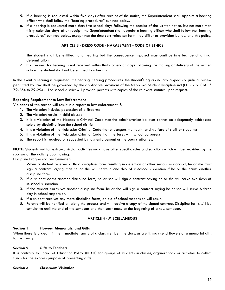- 5. If a hearing is requested within five days after receipt of the notice, the Superintendent shall appoint a hearing officer who shall follow the "hearing procedures" outlined below.
- 6. If a hearing is requested more than five school days following the receipt of the written notice, but not more than thirty calendar days after receipt, the Superintendent shall appoint a hearing officer who shall follow the "hearing procedures" outlined below, except that the time constraints set forth may differ as provided by law and this policy.

# **ARTICLE 3 - DRESS CODE - HARASSMENT - CODE OF ETHICS**

The student shall be entitled to a hearing but the consequence imposed may continue in effect pending final determination.

7. If a request for hearing is not received within thirty calendar days following the mailing or delivery of the written notice, the student shall not be entitled to a hearing.

In the event a hearing is requested, the hearing, hearing procedures, the student's rights and any appeals or judicial review permitted by law shall be governed by the applicable provisions of the Nebraska Student Discipline Act (NEB. REV. STAT. § 79-254 to 79-294). The school district will provide parents with copies of the relevant statutes upon request.

## **Reporting Requirement to Law Enforcement**

Violations of this section will result in a report to law enforcement if:

- 1. The violation includes possession of a firearm;
- 2. The violation results in child abuse;
- 3. It is a violation of the Nebraska Criminal Code that the administration believes cannot be adequately addressed solely by discipline from the school district;
- 4. It is a violation of the Nebraska Criminal Code that endangers the health and welfare of staff or students;
- 5. It is a violation of the Nebraska Criminal Code that interferes with school purposes;
- 6. The report is required or requested by law enforcement or the county attorney.

**NOTE:** Students out for extra-curricular activities may have other specific rules and sanctions which will be provided by the sponsor of the activity upon joining.

Discipline Progression per Semester:

- 1. When a student receives a third discipline form resulting in detention or other serious misconduct, he or she must sign a contract saying that he or she will serve a one day of in-school suspension if he or she earns another discipline form.
- 2. If a student earns another discipline form, he or she will sign a contract saying he or she will serve two days of in-school suspension.
- 3. If the student earns yet another discipline form, he or she will sign a contract saying he or she will serve A three day in-school suspension.
- 4. If a student receives any more discipline forms, an out of school suspension will result.
- 5. Parents will be notified all along the process and will receive a copy of the signed contract. Discipline forms will be cumulative until the end of the semester and then start anew at the beginning of a new semester.

#### **ARTICLE 4 - MISCELLANEOUS**

#### **Section 1 Flowers, Memorials, and Gifts**

When there is a death in the immediate family of a class member, the class, as a unit, may send flowers or a memorial gift, to the family.

#### **Section 2 Gifts to Teachers**

It is contrary to Board of Education Policy #1310 for groups of students in classes, organizations, or activities to collect funds for the express purpose of presenting gifts.

#### **Section 3 Classroom Visitation**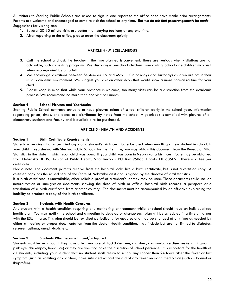All visitors to Sterling Public Schools are asked to sign in and report to the office or to have made prior arrangements. Parents are welcome and encouraged to come to visit the school at any time*. But we do ask that prearrangements be made.* Suggestions for visiting are:

- 1. Several 20-30 minute visits are better than staying too long at any one time.
- 2. After reporting to the office, please enter the classroom quietly.

## **ARTICLE 4 - MISCELLANEOUS**

- 3. Call the school and ask the teacher if the time planned is convenient. There are periods when visitations are not advisable, such as testing programs. We discourage preschool children from visiting. School age children may visit when accompanied by an adult.
- 4. We encourage visitations between September 15 and May 1. On holidays and birthdays children are not in their usual academic environment. We suggest you visit on other days that would show a more normal routine for your child.
- 5. Please keep in mind that while your presence is welcome, too many visits can be a distraction from the academic process. We recommend no more than one visit per month.

## **Section 4 School Pictures and Yearbooks**

Sterling Public School contracts annually to have pictures taken of school children early in the school year. Information regarding prices, times, and dates are distributed by notes from the school. A yearbook is compiled with pictures of all elementary students and faculty and is available to be purchased.

## **ARTICLE 5 - HEALTH AND ACCIDENTS**

#### **Section 1 Birth Certificate Requirements**

State law requires that a certified copy of a student's birth certificate be used when enrolling a new student in school. If your child is registering with Sterling Public Schools for the first time, you may obtain this document from the Bureau of Vital Statistics in the state in which your child was born. If your child was born in Nebraska, a birth certificate may be obtained from Nebraska DHHS, Division of Public Health, Vital Records, PO Box 95065, Lincoln, NE 68509. There is a fee per certificate.

Please note: The document parents receive from the hospital looks like a birth certificate, but is not a certified copy. A certified copy has the raised seal of the State of Nebraska on it and is signed by the director of vital statistics.

If a birth certificate is unavailable, other reliable proof of a student's identity may be used. These documents could include naturalization or immigration documents showing the date of birth or official hospital birth records, a passport, or a translation of a birth certificate from another country. The documents must be accompanied by an affidavit explaining the inability to produce a copy of the birth certificate.

#### **Section 2 Students with Health Concerns**

Any student with a health condition requiring any monitoring or treatment while at school should have an individualized health plan. You may notify the school and a meeting to develop or change such plan will be scheduled in a timely manner with the ESU 4 nurse. This plan should be revisited periodically for updates and may be changed at any time as needed by either a meeting or proper documentation from the doctor. Health conditions may include but are not limited to diabetes, seizures, asthma, anaphylaxis, etc.

#### **Section 3 Students Who Become Ill and/or Injured**

Students must leave school if they have a temperature of 100.0 degrees, diarrhea, communicable diseases (e. g. ringworm, pink eye, chickenpox, head lice) or they are vomiting or at the discretion of school personnel. It is important for the health of all students, including your student that no student shall return to school any sooner than 24 hours after the fever or last symptom (such as vomiting or diarrhea) have subsided without the aid of any fever reducing medication (such as Tylenol or Ibuprofen).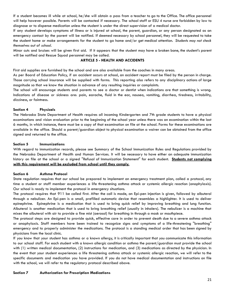If a student becomes ill while at school, he/she will obtain a pass from a teacher to go to the Office. The office personnel will help however possible. Parents will be contacted if necessary. The school staff or ESU 4 nurse are forbidden by law to diagnose or to dispense medication unless the student is under the direct supervision of a medical doctor.

If any student develops symptoms of illness or is injured at school, the parent, guardian, or any person designated as an emergency contact by the parent will be notified. If deemed necessary by school personnel, they will be requested to take the student home or make arrangements for the student to go home and/or get medical attention*. Students may not check themselves out of school.*

Minor cuts and bruises will be given first aid. If it appears that the student may have a broken bone, the student's parent will be notified and Rescue Squad personnel may be called.

## **ARTICLE 5 - HEALTH AND ACCIDENTS**

First aid supplies are furnished by the school and are also available from the coaches in many areas.

As per Board of Education Policy, if an accident occurs at school, an accident report must be filed by the person in charge. Those carrying school insurance will be supplied with forms. This reporting also refers to any disciplinary actions of large magnitude so that we know the situation in advance of any resulting inquiries or complaints.

The school will encourage students and parents to see a doctor or dentist when indications are that something is wrong. Indications of disease or sickness are: pain, earache, fluid in the ear, nausea, vomiting, diarrhea, tiredness, irritability, dizziness, or faintness.

#### **Section 4 Physicals**

The Nebraska State Department of Health requires all incoming Kindergarten and 7th grade students to have a physical examinations and vision evaluation prior to the beginning of the school year unless there was an examination within the last 6 months, in which instance, there must be a copy of that examination on file at the school. Forms for these examinations are available in the office. Should a parent/guardian object to physical examination a waiver can be obtained from the office signed and returned to the office.

#### **Section 5 Immunizations**

With regard to immunization records, please see Summary of the School Immunization Rules and Regulations provided by the Nebraska Department of Health and Human Services. It will be necessary to have either an adequate immunization history on file at the school or a signed ''Refusal of Immunization Statement'' for each student. **Students not complying with this requirement will be excluded from school until they comply.**

#### **Section 6 Asthma Protocol**

State regulation requires that our school be prepared to implement an emergency treatment plan, called a protocol, any time a student or staff member experiences a life threatening asthma attack or systemic allergic reaction (anaphylaxis). Our school is ready to implement the protocol in emergency situations.

The protocol requires that 911 be called first. After the call is made, an Epi-pen injection is given, followed by albuterol through a nebulizer. An Epi-pen is a small, prefilled automatic device that resembles a highlighter. It is used to deliver epinephrine. Epinephrine is a medication that is used to bring quick relief by improving breathing and lung function. Albuterol is another medication that is used to bring breathing relief (usually in inhalers). The nebulizer is a machine that mixes the albuterol with air to provide a fine mist (aerosol) for breathing in through a mask or mouthpiece.

The protocol steps are designed to provide quick, effective care in order to prevent death due to a severe asthma attack or anaphylaxis. Staff members have been trained to recognize signs and symptoms of a life-threatening ''breathing'' emergency and to properly administer the medications. The protocol is a standing medical order that has been signed by physicians from the local clinic.

If you know that your student has asthma or a known allergy, it is critically important that you communicate this information to our school staff. For each student with a known allergic condition or asthma the parent/guardian must provide the school with (1) written medical documentation, (2) instructions for medication, and (3) medications as directed by the physician. In the event that your student experiences a life threatening asthma attack or systemic allergic reaction, we will refer to the specific documents and medication you have provided. If you do not have medical documentation and instructions on file with the school, we will refer to the regulatory protocol described above.

#### **Section 7 Authorization for Prescription Medications**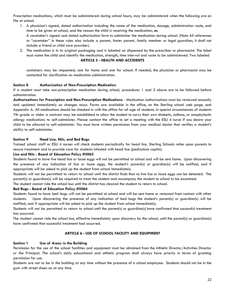Prescription medications, which must be administered during school hours, may be administered when the following are on file at school.

- 1. A physician's signed, dated authorization including the name of the medication, dosage, administration route, and time to be given at school, and the reason the child is receiving the medication; **or,** A caretaker's signed and dated authorization form to administer the medication during school. (Note All references to "caretaker" in these rules also include a parent, foster parent, family member or legal guardian; it shall not include a friend or child care provider).
- 2. The medication is in its original packaging and is labeled as dispensed by the prescriber or pharmacist. The label must name the child and identify the medication, strength, time interval and route to be administered. Two labeled **ARTICLE 5 - HEALTH AND ACCIDENTS**

containers may be requested; one for home and one for school. If needed, the physician or pharmacist may be contacted for clarification on medication administration.

# **Section 8 Authorization of Non-Prescription Medication**

If a student must take non-prescription medication during school, procedures 1 and 2 above are to be followed before administration.

**Authorizations for Prescription and Non-Prescription Medications** - Medication authorizations must be reviewed annually and updated immediately as changes occur. Forms are available in the office, on the Sterling school web page, and Appendix A. All medications should be checked in with the office for all age of students. In special circumstances of students 7th grade or older a contract may be established to allow the student to carry their own diabetic, asthma, or anaphylactic allergy medications to self-administer. Please contact the office to set a meeting with the ESU 4 nurse if you desire your child to be allowed to self-administer. You must have written permission from your medical doctor that verifies a student's ability to self-administer.

## **Section 9 Head Lice, Nits, and Bed Bugs**

Trained school staff or ESU 4 nurses will check students periodically for head lice. Sterling Schools relies upon parents to secure treatment and to provide care for students infested with head lice (pediculosis capitis).

#### **Lice and Nits - Board of Education Policy #5062**

Students found to have live head lice or louse eggs will not be permitted at school and will be sent home. Upon discovering the presence of any indication of lice or louse eggs, the student's parent(s) or guardian(s) will be notified, and if appropriate will be asked to pick up the student from school immediately.

Students will not be permitted to return to school until the district finds that no live lice or louse eggs can be detected. The parent(s) or guardian(s) will be required to treat the student and accompany the student to school to be examined.

The student cannot ride the school bus until the district has cleared the student to return to school.

#### **Bed Bugs - Board of Education Policy #5064**

Students found to have bed bugs will not be permitted at school and will be sent home or removed from contact with other students. Upon discovering the presence of any indication of bed bugs the student's parent(s) or guardian(s) will be notified, and if appropriate will be asked to pick up the student from school immediately.

Students will not be permitted to return to school until the parent(s) or guardian(s) have confirmed that successful treatment has occurred.

The student cannot ride the school bus, effective immediately upon discovery by the school, until the parent(s) or guardian(s) have confirmed that successful treatment had occurred.

# **ARTICLE 6 - USE OF SCHOOL FACILITY AND EQUIPMENT**

#### **Section 1 Use of Areas in the Building**

Permission for the use of the school facilities and equipment must be obtained from the Athletic Director/Activities Director or the Principal. The school's daily educational and athletic program shall always have priority in terms of granting permission for use.

Students are not to be in the building at any time without the presence of a school employee. Students should not be in the gym with street shoes on at any time.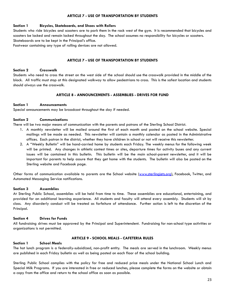## **ARTICLE 7 - USE OF TRANSPORTATION BY STUDENTS**

## **Section 1 Bicycles, Skateboards, and Shoes with Rollers**

Students who ride bicycles and scooters are to park them in the rack west of the gym. It is recommended that bicycles and scooters be locked and remain locked throughout the day. The school assumes no responsibility for bicycles or scooters. Skateboards are to be kept in the Principal's office.

Footwear containing any type of rolling devices are not allowed.

# **ARTICLE 7 - USE OF TRANSPORTATION BY STUDENTS**

## **Section 2 Crosswalk**

Students who need to cross the street on the west side of the school should use the crosswalk provided in the middle of the block. All traffic must stop at this designated walkway to allow pedestrians to cross. This is the safest location and students should always use the crosswalk.

# **ARTICLE 8 - ANNOUNCEMENTS - ASSEMBLIES - DRIVES FOR FUND**

## **Section 1 Announcements**

Special announcements may be broadcast throughout the day if needed.

## **Section 2 Communications**

There will be two major means of communication with the parents and patrons of the Sterling School District.

- 1. A monthly newsletter will be mailed around the first of each month and posted on the school website. Special mailings will be made as needed. This newsletter will contain a monthly calendar as posted in the Administrative offices. Each patron in the district, whether they have children in school or not will receive this newsletter.
- 2. A "Weekly Bulletin" will be hand-carried home by students each Friday. The weekly menus for the following week will be printed. Any changes in athletic contest times or sites, departure times for activity buses and any current issues will be contained in this bulletin. This bulletin will be the main school-parent newsletter, and it will be important for parents to help assure that they get home with the students. The bulletin will also be posted on the Sterling website and Facebook page.

Other forms of communication available to parents are the School website (www.sterlingjets.org), Facebook, Twitter, and Automated Messaging Service notifications.

#### **Section 3 Assemblies**

At Sterling Public School, assemblies will be held from time to time. These assemblies are educational, entertaining, and provided for an additional learning experience. All students and faculty will attend every assembly. Students will sit by class. Any disorderly conduct will be treated as forfeiture of attendance. Further action is left to the discretion of the Principal.

#### **Section 4 Drives for Funds**

All fundraising drives must be approved by the Principal and Superintendent. Fundraising for non-school type activities or organizations is not permitted.

# **Section 1 School Meals**

# **ARTICLE 9 - SCHOOL MEALS - CAFETERIA RULES**

The hot lunch program is a federally-subsidized, non-profit entity. The meals are served in the lunchroom. Weekly menus are published in each Friday bulletin as well as being posted on each floor of the school building.

Sterling Public School complies with the policy for free and reduced price meals under the National School Lunch and Special Milk Programs. If you are interested in free or reduced lunches, please complete the forms on the website or obtain a copy from the office and return to the school office as soon as possible.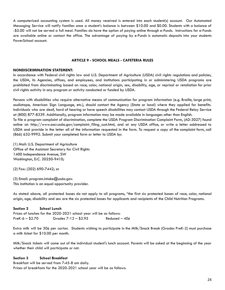A computerized accounting system is used. All money received is entered into each student(s) account. Our Automated Messaging Service will notify families once a student's balance is between \$10.00 and \$0.00. Students with a balance of -\$5.00 will not be served a full meal. Families do have the option of paying online through e-Funds. Instructions for e-Funds are available online or contact the office. The advantage of paying by e-Funds is automatic deposits into your students PowerSchool account.

## **ARTICLE 9 - SCHOOL MEALS - CAFETERIA RULES**

#### **NONDISCRIMINATION STATEMENT:**

In accordance with Federal civil rights law and U.S. Department of Agriculture (USDA) civil rights regulations and policies, the USDA, its Agencies, offices, and employees, and institutions participating in or administering USDA programs are prohibited from discriminating based on race, color, national origin, sex, disability, age, or reprisal or retaliation for prior civil rights activity in any program or activity conducted or funded by USDA.

Persons with disabilities who require alternative means of communication for program information (e.g. Braille, large print, audiotape, American Sign Language, etc.), should contact the Agency (State or local) where they applied for benefits. Individuals who are deaf, hard of hearing or have speech disabilities may contact USDA through the Federal Relay Service at (800) 877-8339. Additionally, program information may be made available in languages other than English. To file a program complaint of discrimination, complete the USDA Program Discrimination Complaint Form, (AD-3027) found online at: http://www.ascr.usda.gov/complaint\_filing\_cust.html, and at any USDA office, or write a letter addressed to USDA and provide in the letter all of the information requested in the form. To request a copy of the complaint form, call

(1) Mail: U.S. Department of Agriculture Office of the Assistant Secretary for Civil Rights 1400 Independence Avenue, SW Washington, D.C. 20250-9410;

(866) 632-9992. Submit your completed form or letter to USDA by:

(2) Fax: (202) 690-7442; or

(3) Email: program.intake@usda.gov. This institution is an equal opportunity provider.

As stated above, all protected bases do not apply to all programs, "the first six protected bases of race, color, national origin, age, disability and sex are the six protected bases for applicants and recipients of the Child Nutrition Programs.

# **Section 2 School Lunch** Prices of lunches for the 2020-2021 school year will be as follows: PreK-6 – \$2.70 Grades 7-12 – \$2.95 Reduced –  $40¢$

Extra milk will be 50¢ per carton. Students wishing to participate in the Milk/Snack Break (Grades PreK-2) must purchase a milk ticket for \$10.00 per month.

Milk/Snack tickets will come out of the individual student's lunch account. Parents will be asked at the beginning of the year whether their child will participate or not.

#### **Section 3 School Breakfast**

Breakfast will be served from 7:45-8 am daily. Prices of breakfasts for the 2020-2021 school year will be as follows: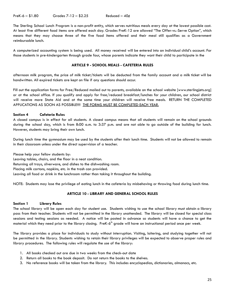The Sterling School Lunch Program is a non-profit entity, which serves nutritious meals every day at the lowest possible cost. At least five different food items are offered each day. Grades PreK-12 are allowed "The Offer-vs.-Serve Option", which means that they may choose three of the five food items offered and their meal still qualifies as a Government reimbursable lunch.

A computerized accounting system is being used. All money received will be entered into an individual child's account. For those students in pre-kindergarten through grade four, whose parents indicate they want their child to participate in the

# **ARTICLE 9 - SCHOOL MEALS - CAFETERIA RULES**

afternoon milk program, the price of milk ticket/tickets will be deducted from the family account and a milk ticket will be handwritten. All expired tickets are kept on file if any questions should occur.

Fill out the application forms for Free/Reduced mailed out to parents, available on the school website [www.sterlingjets.org] or at the school office. If you qualify and apply for free/reduced breakfast/lunches for your children, our school district will receive more State Aid and at the same time your children will receive free meals. RETURN THE COMPLETED APPLICATIONS AS SOON AS POSSIBLE!!!! THE FORMS MUST BE COMPLETED EACH YEAR.

# **Section 4 Cafeteria Rules**

A closed campus is in effect for all students. A closed campus means that all students will remain on the school grounds during the school day, which is from 8:00 a.m. to 3:37 p.m. and are not able to go outside of the building for lunch. However, students may bring their own lunch.

During lunch time the gymnasium may be used by the students after their lunch time. Students will not be allowed to remain in their classroom unless under the direct supervision of a teacher.

Please help your fellow students by:

Leaving tables, chairs, and the floor in a neat condition.

Returning all trays, silverware, and dishes to the dishwashing room.

Placing milk cartons, napkins, etc. in the trash can provided.

Leaving all food or drink in the lunchroom rather than taking it throughout the building.

NOTE: Students may lose the privilege of eating lunch in the cafeteria by misbehaving or throwing food during lunch time.

# **ARTICLE 10 - LIBRARY AND GENERAL SCHOOL RULES**

# **Section 1 Library Rules**

The school library will be open each day for student use. Students wishing to use the school library must obtain a library pass from their teacher. Students will not be permitted in the library unattended. The library will be closed for special class sessions and testing sessions as needed. A notice will be posted in advance so students will have a chance to get the material which they need prior to the library closing. PreK-6<sup>th</sup> grade will have an instructional period once per week.

The library provides a place for individuals to study without interruption. Visiting, loitering, and studying together will not be permitted in the library. Students wishing to retain their library privileges will be expected to observe proper rules and library procedures. The following rules will regulate the use of the library:

- 1. All books checked out are due in two weeks from the check-out date
- 2. Return all books to the book deposit. Do not return the books to the shelves.
- 3. No reference books will be taken from the library. This includes encyclopedias, dictionaries, almanacs, etc.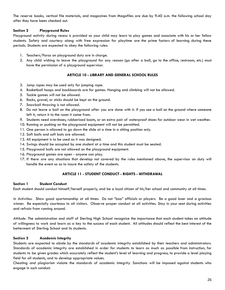The reserve books, vertical file materials, and magazines from Magafiles are due by 9:40 a.m. the following school day after they have been checked out.

# **Section 2 Playground Rules**

Playground activity during recess is provided so your child may learn to play games and associate with his or her fellow students. Safety and courtesy along with free expression for playtime are the prime factors of learning during these periods. Students are expected to obey the following rules:

- 1. Teachers/Paras on playground duty are in charge.
- 2. Any child wishing to leave the playground for any reason (go after a ball, go to the office, restroom, etc.) must have the permission of a playground supervisor.

# **ARTICLE 10 - LIBRARY AND GENERAL SCHOOL RULES**

- 3. Jump ropes may be used only for jumping rope.
- 4. Basketball hoops and backboards are for games. Hanging and climbing will not be allowed.
- 5. Tackle games will not be allowed.
- 6. Rocks, gravel, or sticks should be kept on the ground.
- 7. Snowball throwing is not allowed.
- 8. Do not leave a ball on the playground after you are done with it. If you see a ball on the ground where someone left it, return it to the room it came from.
- 9. Students need overshoes, rubberized boots, or an extra pair of waterproof shoes for outdoor wear in wet weather.
- 10. Running or pushing on the playground equipment will not be permitted.
- 11. One person is allowed to go down the slide at a time in a sitting position only.
- 12. Soft balls and soft bats are allowed.
- 13. All equipment is to be used as it was designed.
- 14. Swings should be occupied by one student at a time and this student must be seated.
- 15. Playground balls are not allowed on the playground equipment.
- 16. Playground games are open anyone can play.
- 17. If there are any situations that develop not covered by the rules mentioned above, the supervisor on duty will handle the event so as to insure the safety of the students.

# **ARTICLE 11 - STUDENT CONDUCT - RIGHTS - WITHDRAWAL**

# **Section 1 Student Conduct**

Each student should conduct himself/herself properly, and be a loyal citizen of his/her school and community at all times.

*In Activities*: Show good sportsmanship at all times. Do not "boo" officials or players. Be a good loser and a gracious winner. Be especially courteous to all visitors. Observe proper conduct at all activities. Stay in your seat during activities and refrain from running around.

*Attitude:* The administration and staff of Sterling High School recognize the importance that each student takes an attitude of willingness to work and learn as a key to the success of each student. All attitudes should reflect the best interest of the betterment of Sterling School and its students.

# **Section 2 Academic Integrity**

Students are expected to abide by the standards of academic integrity established by their teachers and administrators. Standards of academic integrity are established in order for students to learn as much as possible from instruction, for students to be given grades which accurately reflect the student's level of learning and progress, to provide a level playing field for all students, and to develop appropriate values.

Cheating and plagiarism violate the standards of academic integrity. Sanctions will be imposed against students who engage in such conduct.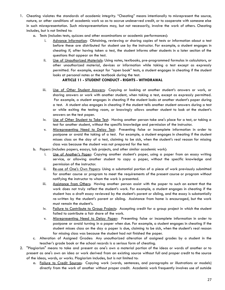- 1. Cheating violates the standards of academic integrity. "Cheating" means intentionally to misrepresent the source, nature, or other conditions of academic work so as to accrue undeserved credit, or to cooperate with someone else in such misrepresentation. Such misrepresentations may, but not necessarily, involve the work of others. Cheating includes, but is not limited to:
	- a. Tests (includes tests, quizzes and other examinations or academic performances):
		- i. Advance Information: Obtaining, reviewing or sharing copies of tests or information about a test before these are distributed for student use by the instructor. For example, a student engages in cheating if, after having taken a test, the student informs other students in a later section of the questions that appear on the test.
		- ii. Use of Unauthorized Materials: Using notes, textbooks, pre-programmed formulas in calculators, or other unauthorized material, devices or information while taking a test except as expressly permitted. For example, except for "open book" tests, a student engages in cheating if the student looks at personal notes or the textbook during the test.

# **ARTICLE 11 - STUDENT CONDUCT - RIGHTS - WITHDRAWAL**

- iii. Use of Other Student Answers: Copying or looking at another student's answers or work, or sharing answers or work with another student, when taking a test, except as expressly permitted. For example, a student engages in cheating if the student looks at another student's paper during a test. A student also engages in cheating if the student tells another student answers during a test or while exiting the testing room, or knowingly allows another student to look at the student's answers on the test paper.
- iv. Use of Other Student to Take Test: Having another person take one's place for a test, or taking a test for another student, without the specific knowledge and permission of the instructor.
- v. Misrepresenting Need to Delay Test: Presenting false or incomplete information in order to postpone or avoid the taking of a test. For example, a student engages in cheating if the student misses class on the day of a test, claiming to be sick, when the student's real reason for missing class was because the student was not prepared for the test.
- b. Papers (includes papers, essays, lab projects, and other similar academic work):
	- i. Use of Another's Paper: Copying another student's paper, using a paper from an essay writing service, or allowing another student to copy a paper, without the specific knowledge and permission of the instructor.
	- ii. Re-use of One's Own Papers: Using a substantial portion of a piece of work previously submitted for another course or program to meet the requirements of the present course or program without notifying the instructor to whom the work is presented.
	- iii. Assistance from Others: Having another person assist with the paper to such an extent that the work does not truly reflect the student's work. For example, a student engages in cheating if the student has a draft essay reviewed by the student's parent or sibling, and the essay is substantially re-written by the student's parent or sibling. Assistance from home is encouraged, but the work must remain the student's.
	- iv. Failure to Contribute to Group Projects: Accepting credit for a group project in which the student failed to contribute a fair share of the work.
	- v. Misrepresenting Need to Delay Paper: Presenting false or incomplete information in order to postpone or avoid turning in a paper when due. For example, a student engages in cheating if the student misses class on the day a paper is due, claiming to be sick, when the student's real reason for missing class was because the student had not finished the paper.
- c. Alteration of Assigned Grades: Any unauthorized alteration of assigned grades by a student in the teacher's grade book or the school records is a serious form of cheating.
- 2. "Plagiarism" means to take and present as one's own a material portion of the ideas or words of another or to present as one's own an idea or work derived from an existing source without full and proper credit to the source of the ideas, words, or works. Plagiarism includes, but is not limited to:
	- a. Failure to Credit Sources: Copying work (words, sentences, and paragraphs or illustrations or models) directly from the work of another without proper credit. Academic work frequently involves use of outside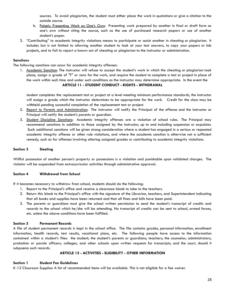sources. To avoid plagiarism, the student must either place the work in quotations or give a citation to the outside source.

- b. Falsely Presenting Work as One's Own: Presenting work prepared by another in final or draft form as one's own without citing the source, such as the use of purchased research papers or use of another student's paper.
- 3. "Contributing" to academic integrity violations means to participate or assist another in cheating or plagiarism. It includes but is not limited to allowing another student to look at your test answers, to copy your papers or lab projects, and to fail to report a known act of cheating or plagiarism to the instructor or administration.

# **Sanctions**

The following sanctions can occur for academic integrity offenses:

1. Academic Sanction: The instructor will refuse to accept the student's work in which the cheating or plagiarism took place, assign a grade of "F" or zero for the work, and require the student to complete a test or project in place of the work within such time and under such conditions as the instructor may determine appropriate. In the event the **ARTICLE 11 - STUDENT CONDUCT - RIGHTS - WITHDRAWAL**

student completes the replacement test or project at a level meeting minimum performance standards, the instructor will assign a grade which the instructor determines to be appropriate for the work. Credit for the class may be withheld pending successful completion of the replacement test or project.

- 2. Report to Parents and Administration: The instructor will notify the Principal of the offense and the instructor or Principal will notify the student's parents or guardian.
- 3. Student Discipline Sanctions: Academic integrity offenses are a violation of school rules. The Principal may recommend sanctions in addition to those assigned by the instructor, up to and including suspension or expulsion. Such additional sanctions will be given strong consideration where a student has engaged in a serious or repeated academic integrity offense or other rule violations, and where the academic sanction is otherwise not a sufficient remedy, such as for offenses involving altering assigned grades or contributing to academic integrity violations.

# **Section 3 Stealing**

Willful possession of another person's property or possessions is a violation and punishable upon validated charges. The violator will be suspended from extracurricular activities through administrative approval.

#### **Section 4 Withdrawal from School**

If it becomes necessary to withdraw from school, students should do the following:

- 1. Report to the Principal's office and receive a clearance blank to take to the teachers.
- 2. Return this blank to the Principal's office with the signature of the Librarian, teachers, and Superintendent indicating that all books and supplies have been returned and that all fines and bills have been paid.
- 3. The parents or guardians must give the school written permission to send the student's transcript of credits and records to the school which he/she will be attending. No transcript of credits can be sent to school, armed forces, etc. unless the above conditions have been fulfilled.

# **Section 5 Permanent Records**

A file of student permanent records is kept in the school office. The file contains grades, personal information, enrollment information, health records, test results, vocational plans, etc. The following people have access to the information contained within a student's files: the student; the student's parents or guardians; teachers; the counselor; administrators; probation or parole officers; colleges; and other schools upon written requests for transcripts; and the court, should it subpoena such records.

#### **ARTICLE 12 - ACTIVITIES - ELIGIBILITY - OTHER INFORMATION**

#### **Section 1 Student Fee Guidelines**

*K-12 Classroom Supplies:* A list of recommended items will be available. This is not eligible for a fee waiver.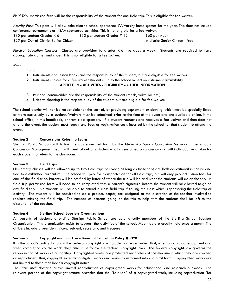*Field Trip:* Admission fees will be the responsibility of the student for one field trip. This is eligible for fee waiver.

*Activity Pass:* This pass will allow admission to school sponsored JV/Varsity home games for the year. This does not include conference tournaments or NSAA sponsored activities. This is not eligible for a fee waiver.

\$30 per student Grades K-6 \$30 per student Grades 7-12 \$60 per Adult \$25 per Out-of-District Senior Citizen In-district Senior Citizen - free

*Physical Education Classes:* Classes are provided to grades K-6 five days a week. Students are required to have appropriate clothes and shoes. This is not eligible for a fee waiver.

*Music:*

Band

- 1. Instruments and lesson books are the responsibility of the student, but are eligible for fee waiver.
- 2. Instrument choices for a fee waiver student is up to the school based on instrument availability.

#### **ARTICLE 12 - ACTIVITIES - ELIGIBILITY - OTHER INFORMATION**

- 3. Personal consumables are the responsibility of the student (reeds, valve oil, etc.)
- 4. Uniform cleaning is the responsibility of the student but are eligible for fee waiver.

The school district will not be responsible for the cost of, or providing equipment or clothing, which may be specially fitted or worn exclusively by a student. Waivers must be submitted **prior** to the time of the event and are available online, in the school office, in this handbook, or from class sponsors. If a student requests and receives a fee waiver and then does not attend the event, the student must repay any fees or registration costs incurred by the school for that student to attend the event.

## **Section 2 Concussions Return to Learn**

Sterling Public Schools will follow the guidelines set forth by the Nebraska Sports Concussion Network. The school's Concussion Management Team will meet about any student who has sustained a concussion and will individualize a plan for each student to return to the classroom.

#### **Section 3 Field Trips**

Elementary classes will be allowed up to two field trips per year, as long as these trips are both educational in nature and tied to established curriculum. The school will pay for transportation for all field trips, but will only pay admission fees for one of the field trips. Parents will be notified by letter of where the trip will be and what the students will do on the trip. A field trip permission form will need to be completed with a parent's signature before the student will be allowed to go on any field trip. No students will be able to attend a class field trip if failing the class which is sponsoring the field trip or activity. The student will be required to do a project, paper, etc. assigned at the discretion of the teacher involved to replace missing the field trip. The number of parents going on the trip to help with the students shall be left to the discretion of the teacher.

#### **Section 4 Sterling School Boosters Organizations**

All parents of students attending Sterling Public School are automatically members of the Sterling School Boosters Organization. This organization exists to support the activities of the school. Meetings are usually held once a month. The officers include a president, vice-president, secretary, and treasurer.

#### **Section 5 Copyright and Fair Use - Board of Education Policy #3020**

It is the school's policy to follow the federal copyright law. Students are reminded that, when using school equipment and when completing course work, they also must follow the federal copyright laws. The federal copyright law governs the reproduction of works of authorship. Copyrighted works are protected regardless of the medium in which they are created or reproduced; thus, copyright extends to digital works and works transformed into a digital form. Copyrighted works are not limited to those that bear a copyright notice.

The "fair use" doctrine allows limited reproduction of copyrighted works for educational and research purposes. The relevant portion of the copyright statute provides that the "fair use" of a copyrighted work, including reproduction "for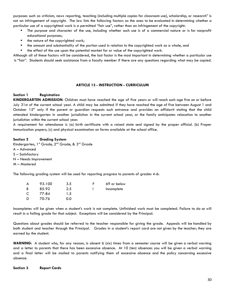purposes such as criticism, news reporting, teaching (including multiple copies for classroom use), scholarship, or research" is not an infringement of copyright. The law lists the following factors as the ones to be evaluated in determining whether a particular use of a copyrighted work is a permitted "fair use", rather than an infringement of the copyright:

- ⦁ The purpose and character of the use, including whether such use is of a commercial nature or is for nonprofit educational purposes;
- the nature of the copyrighted work;
- the amount and substantiality of the portion used in relation to the copyrighted work as a whole, and
- ⦁ the effect of the use upon the potential market for or value of the copyrighted work.

Although all of these factors will be considered, the last factor is the most important in determining whether a particular use is "fair". Students should seek assistance from a faculty member if there are any questions regarding what may be copied.

#### **ARTICLE 13 - INSTRUCTION - CURRICULUM**

## **Section 1 Registration**

**KINDERGARTEN ADMISSION**: Children must have reached the age of five years or will reach such age five on or before July 31st of the current school year. A child may be admitted if they have reached the age of five between August 1 and October  $15<sup>th</sup>$  only if the parent or guardian requests such entrance and provides an affidavit stating that the child attended kindergarten in another jurisdiction in the current school year, or the family anticipates relocation to another jurisdiction within the current school year.

A requirement for attendance is (a) birth certificate with a raised state seal signed by the proper official. (b) Proper immunization papers; (c) and physical examination on forms available at the school office.

#### **Section 2 Grading System**

Kindergarten, 1<sup>st</sup> Grade, 2<sup>nd</sup> Grade, & 3<sup>rd</sup> Grade A – Advanced S – Satisfactory N – Needs Improvement M – Mastered

The following grading system will be used for reporting progress to parents of grades 4-6:

| А | 93-100 | 3.5 | 69 or below |
|---|--------|-----|-------------|
| В | 85-92  | 2.5 | Incomplete  |
| C | 77-84  | 1.5 |             |
| D | 70-76  | 0.0 |             |

Incompletes will be given when a student's work is not complete. Unfinished work must be completed. Failure to do so will result in a failing grade for that subject. Exceptions will be considered by the Principal.

Questions about grades should be referred to the teacher responsible for giving the grade. Appeals will be handled by both student and teacher through the Principal. Grades in a student's report card are not given by the teacher; they are earned by the student.

**WARNING:** A student who, for any reason, is absent 6 (six) times from a semester course will be given a verbal warning and a letter to parents that there has been excessive absence. At 10 (ten) absences you will be given a verbal warning and a final letter will be mailed to parents notifying them of excessive absence and the policy concerning excessive absence.

**Section 3 Report Cards**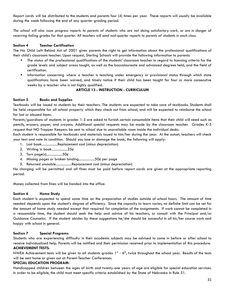Report cards will be distributed to the students and parents four (4) times per year. These reports will usually be available during the week following the end of any quarter grading period.

The school will also issue progress reports to parents of students who are not doing satisfactory work, or are in danger of receiving failing grades for that quarter. All teachers will send mid-quarter reports to parents of students in each class.

# **Section 4 Teacher Certification**

The No Child Left Behind Act of 2001 gives parents the right to get information about the professional qualifications of their child's classroom teacher. Upon request, Sterling Schools will provide the following information to parents:

- ⦁ The status of the professional qualifications of the students' classroom teacher in regard to licensing criteria for the grade levels and subject areas taught, as well as the baccalaureate and advanced degrees held, and the field of certification.
- ⦁ Information concerning where a teacher is teaching under emergency or provisional status through which state qualifications have been waived, and timely notice if their child has been taught for four or more consecutive weeks by a teacher who is not highly qualified.

## **ARTICLE 13 - INSTRUCTION - CURRICULUM**

## **Section 5 Books and Supplies**

Textbooks will be issued to students by their teachers. The students are expected to take care of textbooks. Students shall be held responsible for all school property which they check out from school, and will be expected to reimburse the school for lost or abused items.

Parents/guardians of students in grades 1-5 are asked to furnish certain consumable items that their child will need such as pencils, erasers, paper, and crayons. Additional special requests may be made by the classroom teacher. Grades K-5 request that NO Trapper Keepers be sent to school due to unavailable room inside the individual desks.

Each student is responsible for textbooks and materials issued to him/her during the year. At the outset, teachers will check your text and note its condition. Should you lose or damage the book, the following will apply:

- 1. Lost book..................Replacement cost (minus depreciation)
- 2. Writing in book..................25¢
- 3. Torn page(s)..................50¢
- 4. Missing pages or broken binding..................50¢ per page
- 5. Returned unusable..................Replacement cost (minus depreciation)

No charging will be permitted and all fines must be paid before report cards are given at the appropriate reporting period.

Money collected from fines will be handed into the office.

#### **Section 6 Home Study**

Each student is expected to spend some time on the preparation of studies outside of school hours. The amount of time needed depends upon the student's degree of efficiency. Since the capacity to learn varies, no definite limit can be set for the amount of home study needed except that required for completion of the assignments. If work cannot be completed in a reasonable time, the student should seek the help and advice of his teachers, or consult with the Principal and/or Guidance Counselor. If the student abides by these suggestions he/she should be successful in all his/her course work and happy with school in general.

#### **Section 7 Special Programs**

Students who are experiencing difficulty in their academic subjects may be advised to come in before or after school to receive individualized help. Parents will be notified and their permission received prior to implementation of this procedure. **ACHIEVEMENT TESTS**:

NWEA Achievement tests will be given to all students grades  $1^{\text{st}}$  -  $6^{\text{th}}$ , twice throughout the school year. Results of the tests will be sent home or given out at Parent-Teacher Conferences.

#### **SPECIAL EDUCATION PROGRAM:**

Handicapped children between the ages of birth and twenty-one years of age are eligible for special education services. In order to be eligible, the child must meet specific criteria established by the State of Nebraska in Rule 51.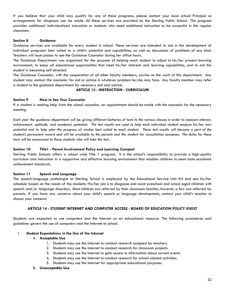If you believe that your child may qualify for any of these programs, please contact your local school Principal so arrangements for diagnosis can be made. All these services are provided by the Sterling Public School. This program provides additional individualized instruction or students who need additional instruction to be successful in the regular classroom.

#### **Section 8 Guidance**

Guidance services are available for every student in school. These services are intended to aid in the development of individual programs best suited to a child's potential and capabilities, as well as discussions of problems of any kind. Teachers will issue passes to see the Guidance Counselor during her office hours.

The Guidance Department was organized for the purpose of helping each student to adjust to his/her present learning environment, to enjoy all educational opportunities that meet his/her interests and learning capabilities, and to aid the student in becoming self-directed.

The Guidance Counselor, with the cooperation of all other faculty members, carries on the work of this department. Any student may contact the counselor for aid or advice in whatever problem he/she may face. Any faculty member may refer a student to the guidance department for necessary aid and advice.

#### **ARTICLE 13 - INSTRUCTION - CURRICULUM**

#### **Section 9 How to See Your Counselor**

If a student is seeking help from the school counselor, an appointment should be made with the counselor for the necessary meeting.

Each year the guidance department will be giving different batteries of tests to the various classes in order to measure interest, achievement, aptitude, and academic potential. The test results are used to help each individual student analyze his/her own potential and to help plan the progress of studies best suited to each student. These test results will become a part of the student's permanent record and will be available to the parents and the student for consultation purposes. The dates for these *tests will be announced to those students who will take the test.*

#### **Section 10 Title1 - Parent Involvement Policy and Learning Compact**

Sterling Public Schools offers a school wide Title 1 program. It is the school's responsibility to provide a high-quality curriculum and instruction in a supportive and effective learning environment that enables children to meet state academic achievement standards.

#### **Section 11 Speech and Language**

The speech-language pathologist at Sterling School is employed by the Educational Service Unit #4 and sets his/her schedule based on the needs of the students. His/her job is to diagnose and assist preschool and school aged children with speech and/or language disorders. Most children are referred by their classroom teacher; however, a few are referred by parents. If you have any concerns about your child's speech or language development, contact your child's teacher to discuss your concerns.

# **ARTICLE 14 - STUDENT INTERNET AND COMPUTER ACCESS - BOARD OF EDUCATION POLICY #5037**

Students are expected to use computers and the Internet as an educational resource. The following procedures and guidelines govern the use of computers and the Internet at school.

#### I. **Student Expectations in the Use of the Internet**

#### A. **Acceptable Use**

- 1. Students may use the Internet to conduct research assigned by teachers.
- 2. Students may use the Internet to conduct research for classroom projects.
- 3. Students may use the Internet to gain access to information about current events.
- 4. Students may use the Internet to conduct research for school-related activities.
- 5. Students may use the Internet for appropriate educational purposes.
- B. **Unacceptable Use**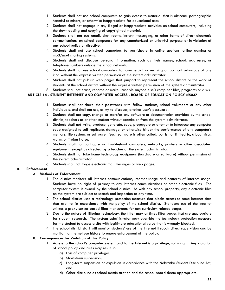- 1. Students shall not use school computers to gain access to material that is obscene, pornographic, harmful to minors, or otherwise inappropriate for educational uses.
- 2. Students shall not engage in any illegal or inappropriate activities on school computers, including the downloading and copying of copyrighted material.
- 3. Students shall not use email, chat rooms, instant messaging, or other forms of direct electronic communications on school computers for any unauthorized or unlawful purpose or in violation of any school policy or directive.
- 4. Students shall not use school computers to participate in online auctions, online gaming or mp3/mp4 sharing systems.
- 5. Students shall not disclose personal information, such as their names, school, addresses, or telephone numbers outside the school network.
- 6. Students shall not use school computers for commercial advertising or political advocacy of any kind without the express written permission of the system administrator.
- 7. Students shall not publish web pages that purport to represent the school district or the work of students at the school district without the express written permission of the system administrator.
- 8. Students shall not erase, rename or make unusable anyone else's computer files, programs or disks.

# **ARTICLE 14 - STUDENT INTERNET AND COMPUTER ACCESS - BOARD OF EDUCATION POLICY #5037**

- 1. Students shall not share their passwords with fellow students, school volunteers or any other individuals, and shall not use, or try to discover, another user's password.
- 2. Students shall not copy, change or transfer any software or documentation provided by the school district, teachers or another student without permission from the system administrator.
- 3. Students shall not write, produce, generate, copy, propagate or attempt to introduce any computer code designed to self-replicate, damage, or otherwise hinder the performance of any computer's memory, file system, or software. Such software is often called, but is not limited to, a bug, virus, worm, or Trojan Horse.
- 4. Students shall not configure or troubleshoot computers, networks, printers or other associated equipment, except as directed by a teacher or the system administrator.
- 5. Students shall not take home technology equipment (hardware or software) without permission of the system administrator.
- 6. Students shall not forge electronic mail messages or web pages.

# II. **Enforcement**

# A. **Methods of Enforcement**

- 1. The district monitors all Internet communications, Internet usage and patterns of Internet usage. Students have no right of privacy to any Internet communications or other electronic files. The computer system is owned by the school district. As with any school property, any electronic files on the system are subject to search and inspection at any time.
- 2. The school district uses a technology protection measure that blocks access to some Internet sites that are not in accordance with the policy of the school district. Standard use of the Internet utilizes a proxy server-based filter that screens for non-curriculum related pages.
- 3. Due to the nature of filtering technology, the filter may at times filter pages that are appropriate for student research. The system administrator may override the technology protection measure for the student to access a site with legitimate educational value that is wrongly blocked.
- 4. The school district staff will monitor students' use of the Internet through direct supervision and by monitoring Internet use history to ensure enforcement of the policy.

# B. **Consequences for Violation of this Policy**

- 1. Access to the school's computer system and to the Internet is a privilege, not a right. Any violation of school policy and rules may result in:
	- a) Loss of computer privileges;
	- b) Short-term suspension;
	- c) Long-term suspension or expulsion in accordance with the Nebraska Student Discipline Act; and
	- d) Other discipline as school administration and the school board deem appropriate.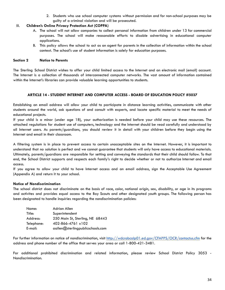2. Students who use school computer systems without permission and for non-school purposes may be guilty of a criminal violation and will be prosecuted.

# III. **Children's Online Privacy Protection Act (COPPA)**

- A. The school will not allow companies to collect personal information from children under 13 for commercial purposes. The school will make reasonable efforts to disable advertising in educational computer applications.
- B. This policy allows the school to act as an agent for parents in the collection of information within the school context. The school's use of student information is solely for education purposes.

# **Section 2 Notice to Parents**

The Sterling School District wishes to offer your child limited access to the Internet and an electronic mail (email) account. The Internet is a collection of thousands of interconnected computer networks. The vast amount of information contained within the Internet's libraries can provide valuable learning opportunities to students.

## **ARTICLE 14 - STUDENT INTERNET AND COMPUTER ACCESS - BOARD OF EDUCATION POLICY #5037**

Establishing an email address will allow your child to participate in distance learning activities, communicate with other students around the world, ask questions of and consult with experts, and locate specific material to meet the needs of educational projects.

If your child is a minor (under age 18), your authorization is needed before your child may use these resources. The attached regulations for student use of computers, technology and the Internet should be read carefully and understood by all Internet users. As parents/guardians, you should review it in detail with your children before they begin using the Internet and email in their classroom.

A filtering system is in place to prevent access to certain unacceptable sites on the Internet. However, it is important to understand that no solution is perfect and we cannot guarantee that students will only have access to educational materials. Ultimately, parents/guardians are responsible for setting and conveying the standards that their child should follow. To that end, the School District supports and respects each family's right to decide whether or not to authorize Internet and email access.

If you agree to allow your child to have Internet access and an email address, sign the Acceptable Use Agreement (Appendix A) and return it to your school.

## **Notice of Nondiscrimination**

The school district does not discriminate on the basis of race, color, national origin, sex, disability, or age in its programs and activites and provides equal access to the Boy Scouts and other designated youth groups. The following person has been designated to handle inquiries regarding the nondiscrimination policies:

| Name:      | Adrian Allen                     |
|------------|----------------------------------|
| Title:     | Superintendent                   |
| Address:   | 250 Main St, Sterling, NE 68443  |
| Telephone: | 402-866-4761 x102                |
| E-mail:    | aallen@sterlingpublicschools.com |

For further information on notice of nondiscrimination, visit <http://wdcrobcolp01.ed.gov/CFAPPS/OCR/contactus.cfm> for the address and phone number of the office that serves your area or call 1-800-421-3481.

For additional prohibited discrimination and related information, please review School District Policy 3053 - Nondiscrimination.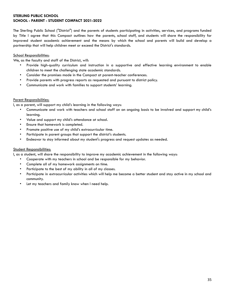# **STERLING PUBLIC SCHOOL SCHOOL - PARENT - STUDENT COMPACT 2021-2022**

The Sterling Public School ("District") and the parents of students participating in activities, services, and programs funded by Title I agree that this Compact outlines how the parents, school staff, and students will share the responsibility for improved student academic achievement and the means by which the school and parents will build and develop a partnership that will help children meet or exceed the District's standards.

# School Responsibilities:

We, as the faculty and staff of the District, will:

- Provide high-quality curriculum and instruction in a supportive and effective learning environment to enable children to meet the challenging state academic standards.
- Consider the promises made in the Compact at parent-teacher conferences.
- Provide parents with progress reports as requested and pursuant to district policy.
- Communicate and work with families to support students' learning.

## Parent Responsibilities:

I, as a parent, will support my child's learning in the following ways:

- Communicate and work with teachers and school staff on an ongoing basis to be involved and support my child's learning.
- Value and support my child's attendance at school.
- Ensure that homework is completed.
- Promote positive use of my child's extracurricular time.
- Participate in parent groups that support the district's students.
- Endeavor to stay informed about my student's progress and request updates as needed.

# **Student Responsibilities:**

I, as a student, will share the responsibility to improve my academic achievement in the following ways:

- Cooperate with my teachers in school and be responsible for my behavior.
- Complete all of my homework assignments on time.
- Participate to the best of my ability in all of my classes.
- Participate in extracurricular activities which will help me become a better student and stay active in my school and community.
- Let my teachers and family know when I need help.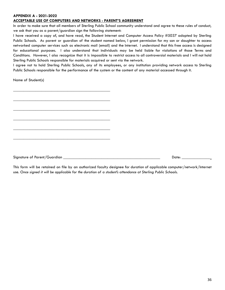## **APPENDIX A - 2021-2022**

## **ACCEPTABLE USE OF COMPUTERS AND NETWORKS - PARENT'S AGREEMENT**

\_\_\_\_\_\_\_\_\_\_\_\_\_\_\_\_\_\_\_\_\_\_\_\_\_\_\_\_\_\_\_\_\_\_\_\_\_\_\_\_\_\_\_\_\_\_\_\_

\_\_\_\_\_\_\_\_\_\_\_\_\_\_\_\_\_\_\_\_\_\_\_\_\_\_\_\_\_\_\_\_\_\_\_\_\_\_\_\_\_\_\_\_\_\_\_\_

\_\_\_\_\_\_\_\_\_\_\_\_\_\_\_\_\_\_\_\_\_\_\_\_\_\_\_\_\_\_\_\_\_\_\_\_\_\_\_\_\_\_\_\_\_\_\_\_

\_\_\_\_\_\_\_\_\_\_\_\_\_\_\_\_\_\_\_\_\_\_\_\_\_\_\_\_\_\_\_\_\_\_\_\_\_\_\_\_\_\_\_\_\_\_\_\_

\_\_\_\_\_\_\_\_\_\_\_\_\_\_\_\_\_\_\_\_\_\_\_\_\_\_\_\_\_\_\_\_\_\_\_\_\_\_\_\_\_\_\_\_\_\_\_\_

\_\_\_\_\_\_\_\_\_\_\_\_\_\_\_\_\_\_\_\_\_\_\_\_\_\_\_\_\_\_\_\_\_\_\_\_\_\_\_\_\_\_\_\_\_\_\_\_

In order to make sure that all members of Sterling Public School community understand and agree to these rules of conduct, we ask that you as a parent/guardian sign the following statement:

I have received a copy of, and have read, the Student Internet and Computer Access Policy #5037 adopted by Sterling Public Schools. As parent or guardian of the student named below, I grant permission for my son or daughter to access networked computer services such as electronic mail (email) and the Internet. I understand that this free access is designed for educational purposes. I also understand that individuals may be held liable for violations of those Terms and Conditions. However, I also recognize that it is impossible to restrict access to all controversial materials and I will not hold Sterling Public Schools responsible for materials acquired or sent via the network.

I agree not to hold Sterling Public Schools, any of its employees, or any institution providing network access to Sterling Public Schools responsible for the performance of the system or the content of any material accessed through it.

Name of Student(s)

Signature of Parent/Guardian \_\_\_\_\_\_\_\_\_\_\_\_\_\_\_\_\_\_\_\_\_\_\_\_\_\_\_\_\_\_\_\_\_\_\_\_\_\_\_\_\_\_\_\_\_\_\_\_ Date: \_\_\_\_\_\_\_\_\_\_\_\_\_\_

This form will be retained on file by an authorized faculty designee for duration of applicable computer/network/Internet use. Once signed it will be applicable for the duration of a student's attendance at Sterling Public Schools.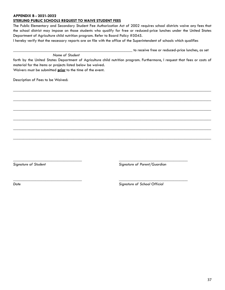## **APPENDIX B - 2021-2022**

## **STERLING PUBLIC SCHOOLS REQUEST TO WAIVE STUDENT FEES**

*Name of Student*

The Public Elementary and Secondary Student Fee Authorization Act of 2002 requires school districts waive any fees that the school district may impose on those students who qualify for free or reduced-price lunches under the United States Department of Agriculture child nutrition program. Refer to Board Policy #5045.

I hereby verify that the necessary reports are on file with the office of the Superintendent of schools which qualifies

\_\_\_\_\_\_\_\_\_\_\_\_\_\_\_\_\_\_\_\_\_\_\_\_\_\_\_\_\_\_\_\_\_\_\_\_\_\_\_\_\_\_\_\_\_\_\_\_\_\_\_\_\_\_\_\_\_\_\_ to receive free or reduced-price lunches, as set

forth by the United States Department of Agriculture child nutrition program. Furthermore, I request that fees or costs of material for the items or projects listed below be waived.

\_\_\_\_\_\_\_\_\_\_\_\_\_\_\_\_\_\_\_\_\_\_\_\_\_\_\_\_\_\_\_\_\_\_\_\_\_\_\_\_\_\_\_\_\_\_\_\_\_\_\_\_\_\_\_\_\_\_\_\_\_\_\_\_\_\_\_\_\_\_\_\_\_\_\_\_\_\_\_\_\_\_\_\_\_\_\_\_\_\_\_\_\_\_\_\_\_\_

\_\_\_\_\_\_\_\_\_\_\_\_\_\_\_\_\_\_\_\_\_\_\_\_\_\_\_\_\_\_\_\_\_\_\_\_\_\_\_\_\_\_\_\_\_\_\_\_\_\_\_\_\_\_\_\_\_\_\_\_\_\_\_\_\_\_\_\_\_\_\_\_\_\_\_\_\_\_\_\_\_\_\_\_\_\_\_\_\_\_\_\_\_\_\_\_\_\_

\_\_\_\_\_\_\_\_\_\_\_\_\_\_\_\_\_\_\_\_\_\_\_\_\_\_\_\_\_\_\_\_\_\_\_\_\_\_\_\_\_\_\_\_\_\_\_\_\_\_\_\_\_\_\_\_\_\_\_\_\_\_\_\_\_\_\_\_\_\_\_\_\_\_\_\_\_\_\_\_\_\_\_\_\_\_\_\_\_\_\_\_\_\_\_\_\_\_

\_\_\_\_\_\_\_\_\_\_\_\_\_\_\_\_\_\_\_\_\_\_\_\_\_\_\_\_\_\_\_\_\_\_\_\_\_\_\_\_\_\_\_\_\_\_\_\_\_\_\_\_\_\_\_\_\_\_\_\_\_\_\_\_\_\_\_\_\_\_\_\_\_\_\_\_\_\_\_\_\_\_\_\_\_\_\_\_\_\_\_\_\_\_\_\_\_\_

\_\_\_\_\_\_\_\_\_\_\_\_\_\_\_\_\_\_\_\_\_\_\_\_\_\_\_\_\_\_\_\_\_\_\_\_\_\_\_\_\_\_\_\_\_\_\_\_\_\_\_\_\_\_\_\_\_\_\_\_\_\_\_\_\_\_\_\_\_\_\_\_\_\_\_\_\_\_\_\_\_\_\_\_\_\_\_\_\_\_\_\_\_\_\_\_\_\_

\_\_\_\_\_\_\_\_\_\_\_\_\_\_\_\_\_\_\_\_\_\_\_\_\_\_\_\_\_\_\_\_\_\_\_\_\_\_\_\_\_\_\_\_\_\_\_\_\_\_\_\_\_\_\_\_\_\_\_\_\_\_\_\_\_\_\_\_\_\_\_\_\_\_\_\_\_\_\_\_\_\_\_\_\_\_\_\_\_\_\_\_\_\_\_\_\_\_

*\_\_\_\_\_\_\_\_\_\_\_\_\_\_\_\_\_\_\_\_\_\_\_\_\_\_\_\_\_\_\_\_\_\_ \_\_\_\_\_\_\_\_\_\_\_\_\_\_\_\_\_\_\_\_\_\_\_\_\_\_\_\_\_\_\_\_\_\_*

*\_\_\_\_\_\_\_\_\_\_\_\_\_\_\_\_\_\_\_\_\_\_\_\_\_\_\_\_\_\_\_\_\_\_ \_\_\_\_\_\_\_\_\_\_\_\_\_\_\_\_\_\_\_\_\_\_\_\_\_\_\_\_\_\_\_\_\_\_*

Waivers must be submitted **prior** to the time of the event.

Description of Fees to be Waived:

*Signature of Student Signature of Parent/Guardian*

*Date Signature of School Official*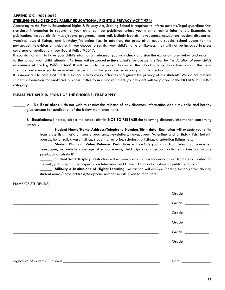## **APPENDIX C - 2021-2022**

## **STERLING PUBLIC SCHOOL FAMILY EDUCATIONAL RIGHTS & PRIVACY ACT (1974)**

According to the Family Educational Rights & Privacy Act, Sterling School is required to inform parents/legal guardians that standard information in regard to your child can be published unless you wish to restrict information. Examples of publications include district music/sports programs, honor roll, bulletin boards, newspapers, newsletters, student directories, websites, award listings, and birthday/Valentine lists. In addition, the press often covers special school events for the newspaper, television or website. If you choose to restrict your child's name or likeness, they will not be included in press coverage or publications, per Board Policy #5017.

If you do not wish to have your child's information released, you may check and sign the exclusion form below and return it to the school your child attends. This form will be placed in the student's file and be in effect for the duration of your child's *attendance at Sterling Public School.* It will be up to the parent to contact the school building to redirect any of the items from the preference you have marked below. Thanks for your partnership in your child's education.

It is important to note that Sterling School makes every effort to safeguard the privacy of our students. We do not release student information for unofficial business. If this form is not returned, your student will be placed in the NO RESTRICTIONS category.

#### **PLEASE PUT AN X IN FRONT OF THE CHOICE(S) THAT APPLY:**

\_\_\_\_\_\_ A. **No Restriction**s: I do not wish to restrict the release of any directory information about my child and hereby give consent for publication of the below mentioned items.

B. **Restrictions**: I hereby direct the school district **NOT TO RELEASE** the following directory information concerning my child:

\_\_\_\_\_\_ **Student Name/Home Address/Telephone Number/Birth date** Restriction will *exclude* your child from class lists, music or sports programs, newsletters, newspapers, Valentine and birthday lists, bulletin boards, honor roll, award listings, student directories, scholarship listings, graduation listings, etc.

\_\_\_\_\_\_ **Student Photo or Video Release** Restrictions will *exclude* your child from television, newsletter, newspaper, or website coverage of school events, field trips and classroom activities. (Does not include yearbook or photo ID)

\_\_\_\_\_\_ **Student Work Display** Restriction will *exclude* your child's schoolwork or art from being posted on the web, published in the paper or on television, and District 33 school displays at public buildings.

\_\_\_\_\_\_ **Military & Institutions of Higher Learning** Restriction will *exclude* Sterling Schools from sharing student name/home address/telephone number in lists given to recruiters.

NAME OF STUDENT(S):

| Grade ___________                                                            |
|------------------------------------------------------------------------------|
| $Grade \begin{tabular}{c} \multicolumn{1}{c }{\textbf{Grade}} \end{tabular}$ |
| Grade $\_\_$                                                                 |
| Grade ___________                                                            |
| Grade ___________                                                            |
| Grade ____________                                                           |
|                                                                              |
| Date: ____________                                                           |